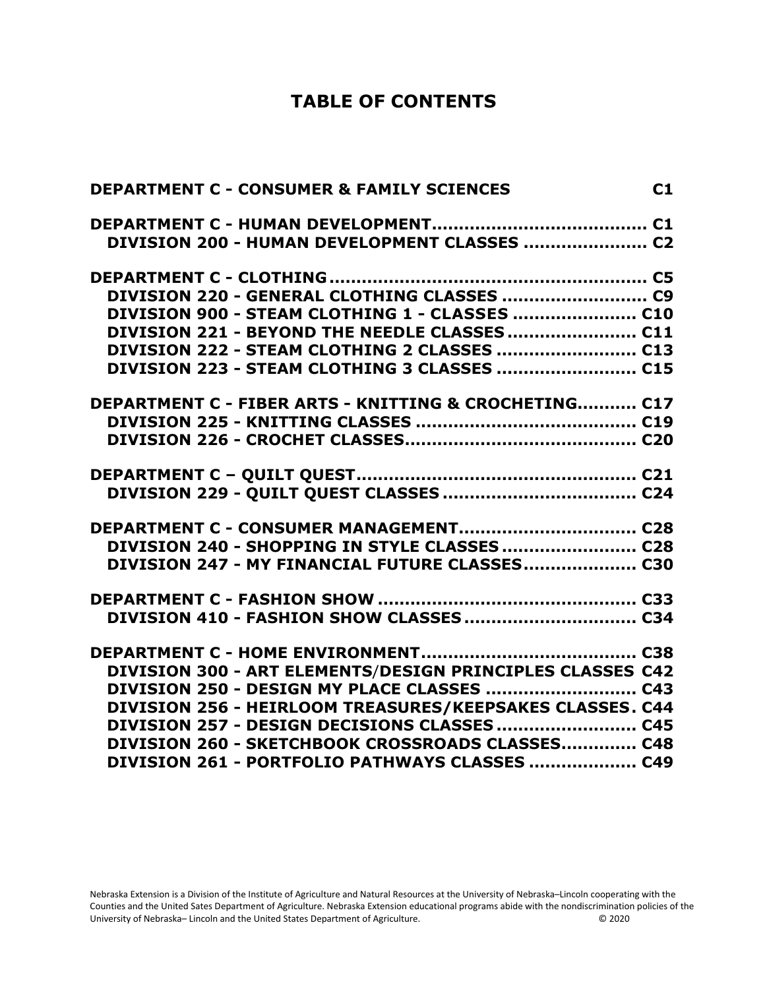## **TABLE OF CONTENTS**

| <b>DEPARTMENT C - CONSUMER &amp; FAMILY SCIENCES</b>             | C1 |
|------------------------------------------------------------------|----|
|                                                                  |    |
| DIVISION 200 - HUMAN DEVELOPMENT CLASSES  C2                     |    |
|                                                                  |    |
|                                                                  |    |
| DIVISION 900 - STEAM CLOTHING 1 - CLASSES  C10                   |    |
| DIVISION 221 - BEYOND THE NEEDLE CLASSES  C11                    |    |
|                                                                  |    |
| DIVISION 223 - STEAM CLOTHING 3 CLASSES  C15                     |    |
| <b>DEPARTMENT C - FIBER ARTS - KNITTING &amp; CROCHETING C17</b> |    |
|                                                                  |    |
|                                                                  |    |
|                                                                  |    |
|                                                                  |    |
|                                                                  |    |
| DIVISION 240 - SHOPPING IN STYLE CLASSES  C28                    |    |
| DIVISION 247 - MY FINANCIAL FUTURE CLASSES C30                   |    |
|                                                                  |    |
|                                                                  |    |
|                                                                  |    |
| DIVISION 300 - ART ELEMENTS/DESIGN PRINCIPLES CLASSES C42        |    |
|                                                                  |    |
| DIVISION 256 - HEIRLOOM TREASURES/KEEPSAKES CLASSES. C44         |    |
|                                                                  |    |
| DIVISION 260 - SKETCHBOOK CROSSROADS CLASSES C48                 |    |
| DIVISION 261 - PORTFOLIO PATHWAYS CLASSES  C49                   |    |

Nebraska Extension is a Division of the Institute of Agriculture and Natural Resources at the University of Nebraska–Lincoln cooperating with the Counties and the United Sates Department of Agriculture. Nebraska Extension educational programs abide with the nondiscrimination policies of the<br>University of Nebraska– Lincoln and the United States Department of Agricult University of Nebraska– Lincoln and the United States Department of Agriculture.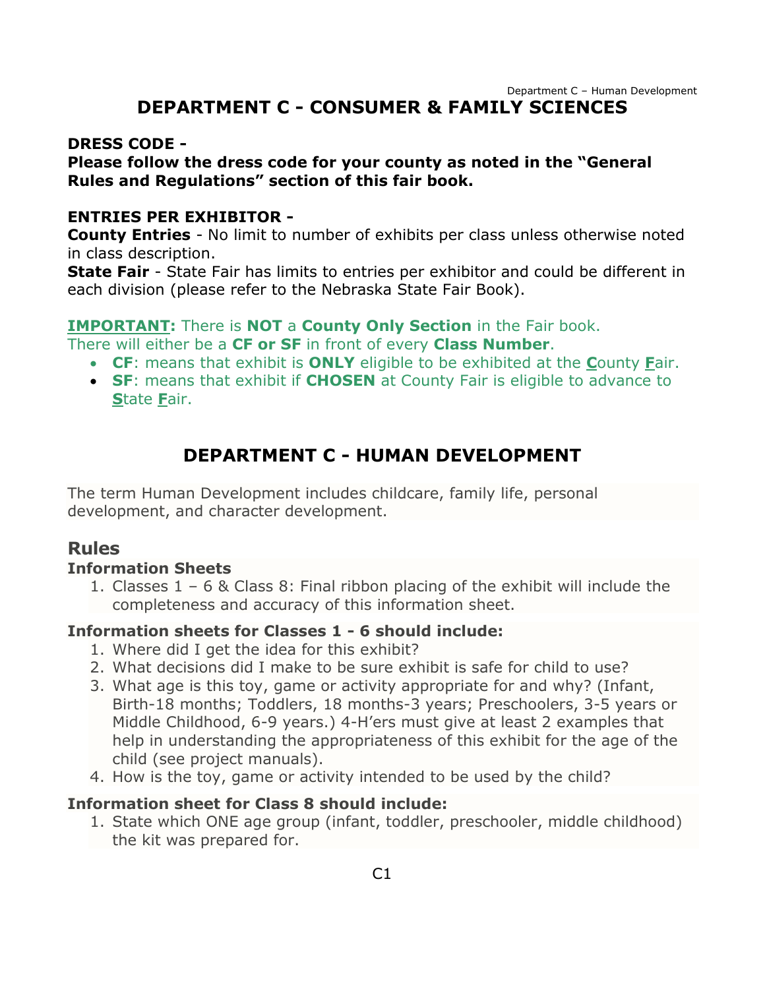## **DEPARTMENT C - CONSUMER & FAMILY SCIENCES**

#### <span id="page-1-0"></span>**DRESS CODE -**

#### **Please follow the dress code for your county as noted in the "General Rules and Regulations" section of this fair book.**

#### **ENTRIES PER EXHIBITOR -**

**County Entries** - No limit to number of exhibits per class unless otherwise noted in class description.

**State Fair** - State Fair has limits to entries per exhibitor and could be different in each division (please refer to the Nebraska State Fair Book).

#### **IMPORTANT:** There is **NOT** a **County Only Section** in the Fair book.

There will either be a **CF or SF** in front of every **Class Number**.

- **CF**: means that exhibit is **ONLY** eligible to be exhibited at the **C**ounty **F**air.
- **SF**: means that exhibit if **CHOSEN** at County Fair is eligible to advance to **S**tate **F**air.

## **DEPARTMENT C - HUMAN DEVELOPMENT**

<span id="page-1-1"></span>The term Human Development includes childcare, family life, personal development, and character development.

#### **Rules**

#### **Information Sheets**

1. Classes 1 – 6 & Class 8: Final ribbon placing of the exhibit will include the completeness and accuracy of this information sheet.

#### **Information sheets for Classes 1 - 6 should include:**

- 1. Where did I get the idea for this exhibit?
- 2. What decisions did I make to be sure exhibit is safe for child to use?
- 3. What age is this toy, game or activity appropriate for and why? (Infant, Birth-18 months; Toddlers, 18 months-3 years; Preschoolers, 3-5 years or Middle Childhood, 6-9 years.) 4-H'ers must give at least 2 examples that help in understanding the appropriateness of this exhibit for the age of the child (see project manuals).
- 4. How is the toy, game or activity intended to be used by the child?

#### **Information sheet for Class 8 should include:**

1. State which ONE age group (infant, toddler, preschooler, middle childhood) the kit was prepared for.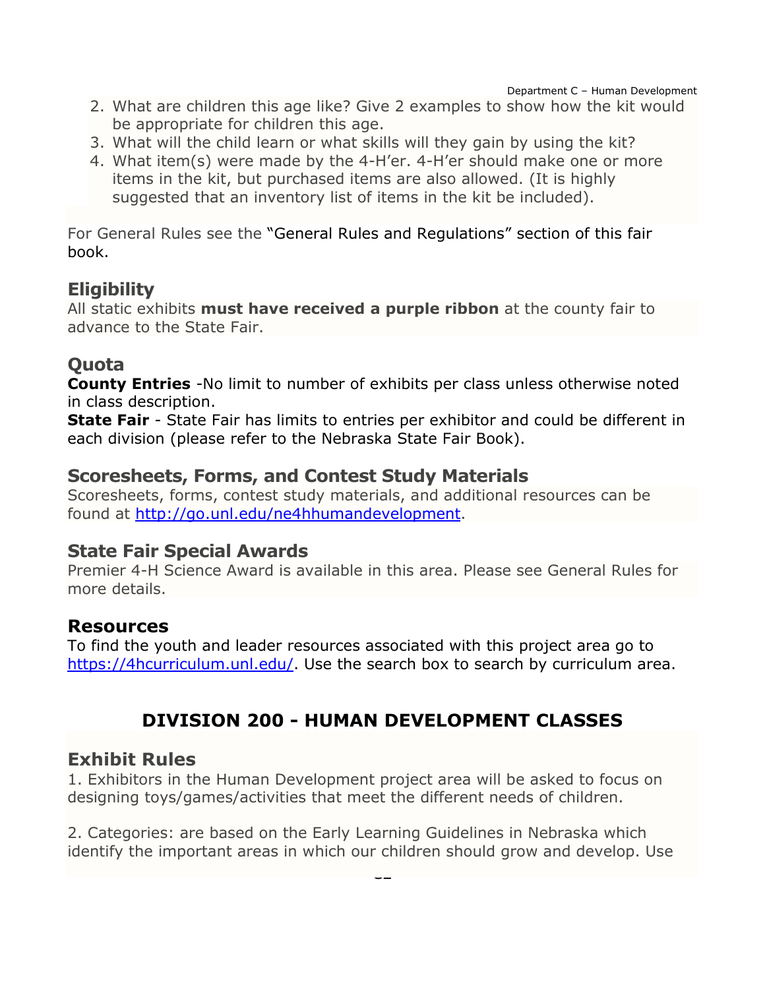- 2. What are children this age like? Give 2 examples to show how the kit would be appropriate for children this age.
- 3. What will the child learn or what skills will they gain by using the kit?
- 4. What item(s) were made by the 4-H'er. 4-H'er should make one or more items in the kit, but purchased items are also allowed. (It is highly suggested that an inventory list of items in the kit be included).

For General Rules see the "General Rules and Regulations" section of this fair book.

### **Eligibility**

All static exhibits **must have received a purple ribbon** at the county fair to advance to the State Fair.

## **Quota**

**County Entries** -No limit to number of exhibits per class unless otherwise noted in class description.

**State Fair** - State Fair has limits to entries per exhibitor and could be different in each division (please refer to the Nebraska State Fair Book).

### **Scoresheets, Forms, and Contest Study Materials**

Scoresheets, forms, contest study materials, and additional resources can be found at [http://go.unl.edu/ne4hhumandevelopment.](http://go.unl.edu/ne4hhumandevelopment)

## **State Fair Special Awards**

Premier 4-H Science Award is available in this area. Please see General Rules for more details.

### **Resources**

To find the youth and leader resources associated with this project area go to [https://4hcurriculum.unl.edu/.](https://4hcurriculum.unl.edu/) Use the search box to search by curriculum area.

# **DIVISION 200 - HUMAN DEVELOPMENT CLASSES**

## <span id="page-2-0"></span>**Exhibit Rules**

1. Exhibitors in the Human Development project area will be asked to focus on designing toys/games/activities that meet the different needs of children.

2. Categories: are based on the Early Learning Guidelines in Nebraska which identify the important areas in which our children should grow and develop. Use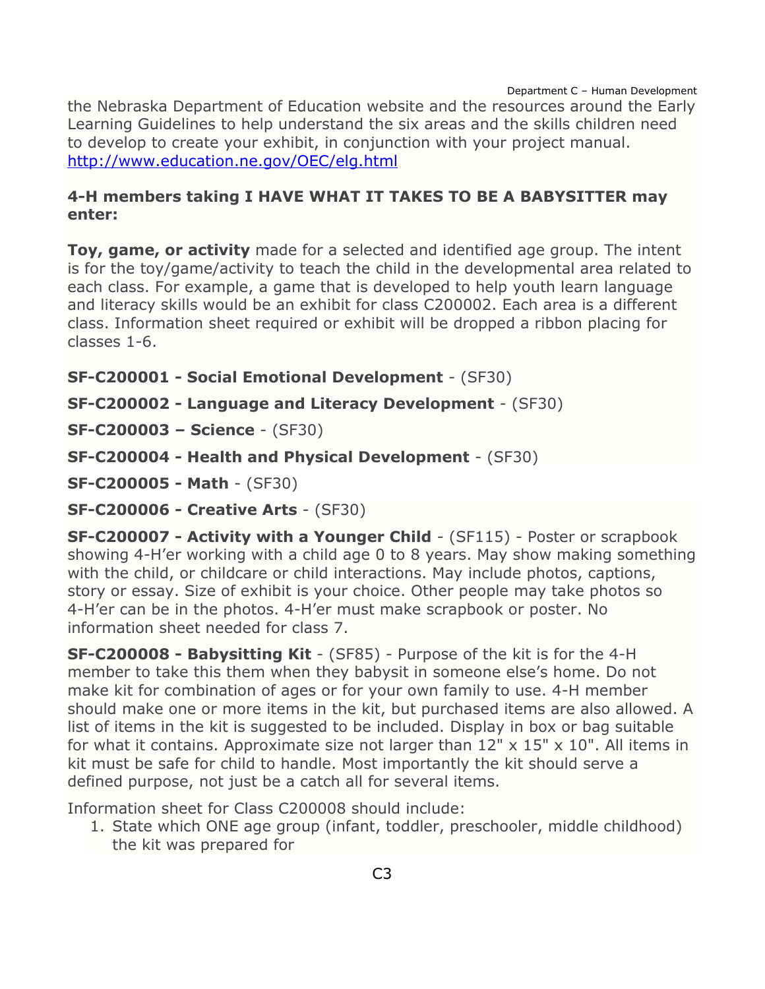the Nebraska Department of Education website and the resources around the Early Learning Guidelines to help understand the six areas and the skills children need to develop to create your exhibit, in conjunction with your project manual. <http://www.education.ne.gov/OEC/elg.html>

#### **4-H members taking I HAVE WHAT IT TAKES TO BE A BABYSITTER may enter:**

**Toy, game, or activity** made for a selected and identified age group. The intent is for the toy/game/activity to teach the child in the developmental area related to each class. For example, a game that is developed to help youth learn language and literacy skills would be an exhibit for class C200002. Each area is a different class. Information sheet required or exhibit will be dropped a ribbon placing for classes 1-6.

- **SF-C200001 - Social Emotional Development** (SF30)
- **SF-C200002 - Language and Literacy Development** (SF30)
- **SF-C200003 – Science** (SF30)
- **SF-C200004 - Health and Physical Development** (SF30)

**SF-C200005 - Math** - (SF30)

**SF-C200006 - Creative Arts** - (SF30)

**SF-C200007 - Activity with a Younger Child** - (SF115) - Poster or scrapbook showing 4-H'er working with a child age 0 to 8 years. May show making something with the child, or childcare or child interactions. May include photos, captions, story or essay. Size of exhibit is your choice. Other people may take photos so 4-H'er can be in the photos. 4-H'er must make scrapbook or poster. No information sheet needed for class 7.

**SF-C200008 - Babysitting Kit** - (SF85) - Purpose of the kit is for the 4-H member to take this them when they babysit in someone else's home. Do not make kit for combination of ages or for your own family to use. 4-H member should make one or more items in the kit, but purchased items are also allowed. A list of items in the kit is suggested to be included. Display in box or bag suitable for what it contains. Approximate size not larger than  $12" \times 15" \times 10"$ . All items in kit must be safe for child to handle. Most importantly the kit should serve a defined purpose, not just be a catch all for several items.

Information sheet for Class C200008 should include:

1. State which ONE age group (infant, toddler, preschooler, middle childhood) the kit was prepared for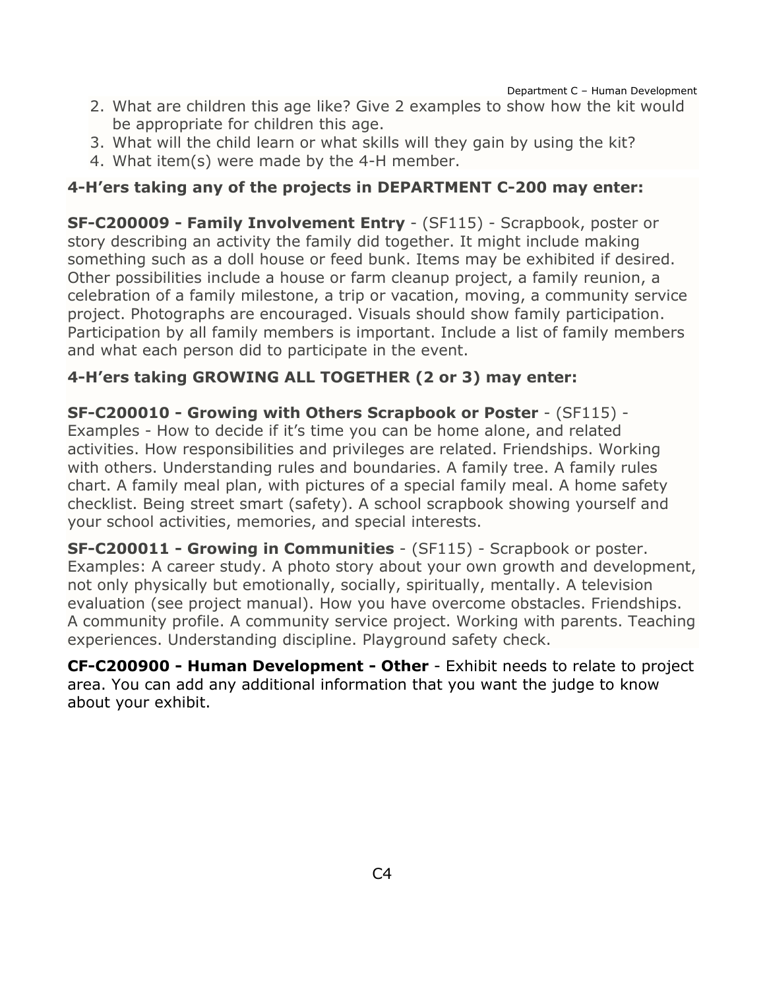- 2. What are children this age like? Give 2 examples to show how the kit would be appropriate for children this age.
- 3. What will the child learn or what skills will they gain by using the kit?
- 4. What item(s) were made by the 4-H member.

#### **4-H'ers taking any of the projects in DEPARTMENT C-200 may enter:**

**SF-C200009 - Family Involvement Entry** - (SF115) - Scrapbook, poster or story describing an activity the family did together. It might include making something such as a doll house or feed bunk. Items may be exhibited if desired. Other possibilities include a house or farm cleanup project, a family reunion, a celebration of a family milestone, a trip or vacation, moving, a community service project. Photographs are encouraged. Visuals should show family participation. Participation by all family members is important. Include a list of family members and what each person did to participate in the event.

#### **4-H'ers taking GROWING ALL TOGETHER (2 or 3) may enter:**

**SF-C200010 - Growing with Others Scrapbook or Poster** - (SF115) - Examples - How to decide if it's time you can be home alone, and related activities. How responsibilities and privileges are related. Friendships. Working with others. Understanding rules and boundaries. A family tree. A family rules chart. A family meal plan, with pictures of a special family meal. A home safety checklist. Being street smart (safety). A school scrapbook showing yourself and your school activities, memories, and special interests.

**SF-C200011 - Growing in Communities** - (SF115) - Scrapbook or poster. Examples: A career study. A photo story about your own growth and development, not only physically but emotionally, socially, spiritually, mentally. A television evaluation (see project manual). How you have overcome obstacles. Friendships. A community profile. A community service project. Working with parents. Teaching experiences. Understanding discipline. Playground safety check.

**CF-C200900 - Human Development - Other** - Exhibit needs to relate to project area. You can add any additional information that you want the judge to know about your exhibit.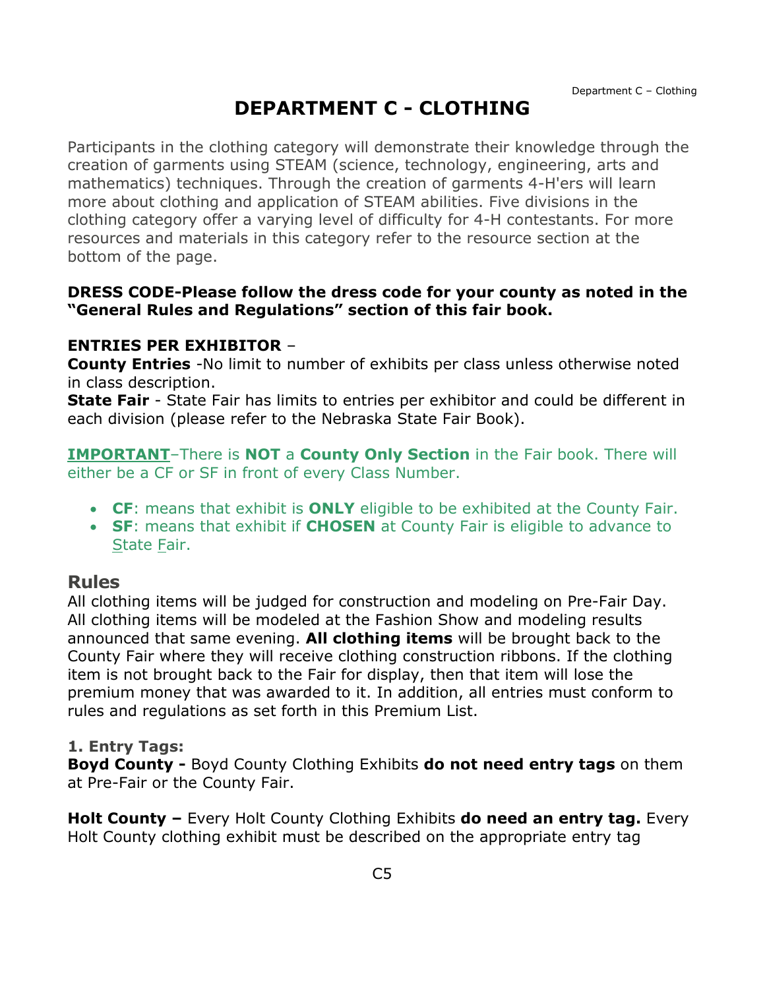# **DEPARTMENT C - CLOTHING**

<span id="page-5-0"></span>Participants in the clothing category will demonstrate their knowledge through the creation of garments using STEAM (science, technology, engineering, arts and mathematics) techniques. Through the creation of garments 4-H'ers will learn more about clothing and application of STEAM abilities. Five divisions in the clothing category offer a varying level of difficulty for 4-H contestants. For more resources and materials in this category refer to the resource section at the bottom of the page.

#### **DRESS CODE-Please follow the dress code for your county as noted in the "General Rules and Regulations" section of this fair book.**

#### **ENTRIES PER EXHIBITOR** –

**County Entries** -No limit to number of exhibits per class unless otherwise noted in class description.

**State Fair** - State Fair has limits to entries per exhibitor and could be different in each division (please refer to the Nebraska State Fair Book).

**IMPORTANT**–There is **NOT** a **County Only Section** in the Fair book. There will either be a CF or SF in front of every Class Number.

- **CF**: means that exhibit is **ONLY** eligible to be exhibited at the County Fair.
- **SF**: means that exhibit if **CHOSEN** at County Fair is eligible to advance to State Fair.

#### **Rules**

All clothing items will be judged for construction and modeling on Pre-Fair Day. All clothing items will be modeled at the Fashion Show and modeling results announced that same evening. **All clothing items** will be brought back to the County Fair where they will receive clothing construction ribbons. If the clothing item is not brought back to the Fair for display, then that item will lose the premium money that was awarded to it. In addition, all entries must conform to rules and regulations as set forth in this Premium List.

#### **1. Entry Tags:**

**Boyd County -** Boyd County Clothing Exhibits **do not need entry tags** on them at Pre-Fair or the County Fair.

**Holt County –** Every Holt County Clothing Exhibits **do need an entry tag.** Every Holt County clothing exhibit must be described on the appropriate entry tag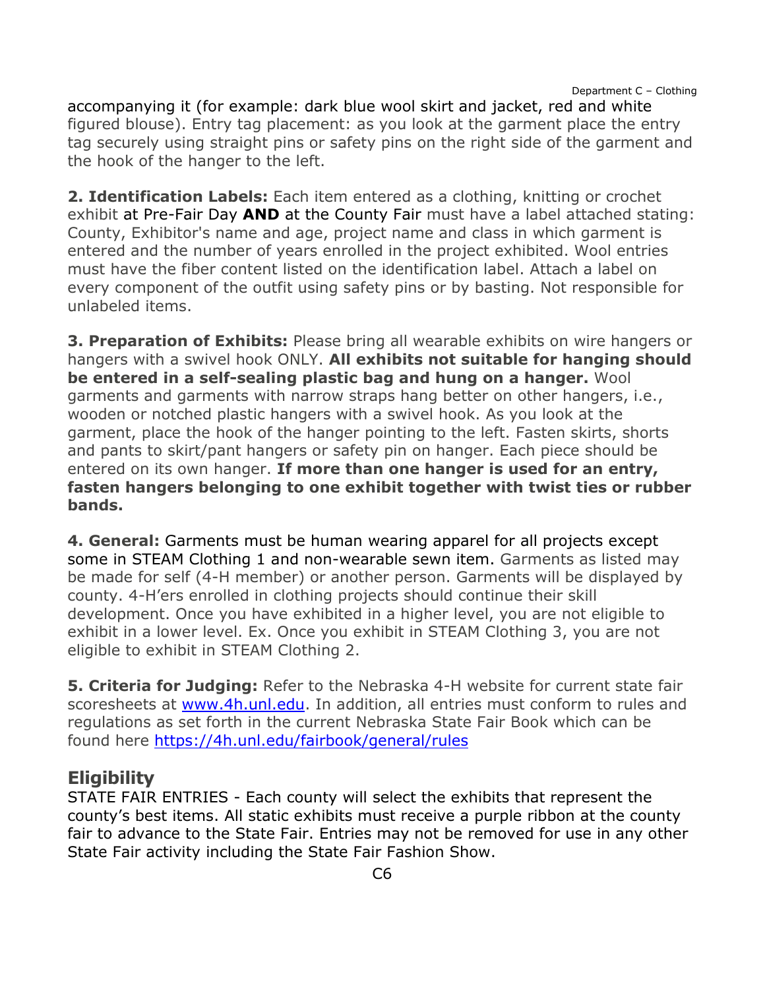accompanying it (for example: dark blue wool skirt and jacket, red and white figured blouse). Entry tag placement: as you look at the garment place the entry tag securely using straight pins or safety pins on the right side of the garment and the hook of the hanger to the left.

**2. Identification Labels:** Each item entered as a clothing, knitting or crochet exhibit at Pre-Fair Day **AND** at the County Fair must have a label attached stating: County, Exhibitor's name and age, project name and class in which garment is entered and the number of years enrolled in the project exhibited. Wool entries must have the fiber content listed on the identification label. Attach a label on every component of the outfit using safety pins or by basting. Not responsible for unlabeled items.

**3. Preparation of Exhibits:** Please bring all wearable exhibits on wire hangers or hangers with a swivel hook ONLY. **All exhibits not suitable for hanging should be entered in a self-sealing plastic bag and hung on a hanger.** Wool garments and garments with narrow straps hang better on other hangers, i.e., wooden or notched plastic hangers with a swivel hook. As you look at the garment, place the hook of the hanger pointing to the left. Fasten skirts, shorts and pants to skirt/pant hangers or safety pin on hanger. Each piece should be entered on its own hanger. **If more than one hanger is used for an entry, fasten hangers belonging to one exhibit together with twist ties or rubber bands.**

**4. General:** Garments must be human wearing apparel for all projects except some in STEAM Clothing 1 and non-wearable sewn item. Garments as listed may be made for self (4-H member) or another person. Garments will be displayed by county. 4-H'ers enrolled in clothing projects should continue their skill development. Once you have exhibited in a higher level, you are not eligible to exhibit in a lower level. Ex. Once you exhibit in STEAM Clothing 3, you are not eligible to exhibit in STEAM Clothing 2.

**5. Criteria for Judging:** Refer to the Nebraska 4-H website for current state fair scoresheets at www.4h.unl.edu. In addition, all entries must conform to rules and regulations as set forth in the current Nebraska State Fair Book which can be found here <https://4h.unl.edu/fairbook/general/rules>

## **Eligibility**

STATE FAIR ENTRIES - Each county will select the exhibits that represent the county's best items. All static exhibits must receive a purple ribbon at the county fair to advance to the State Fair. Entries may not be removed for use in any other State Fair activity including the State Fair Fashion Show.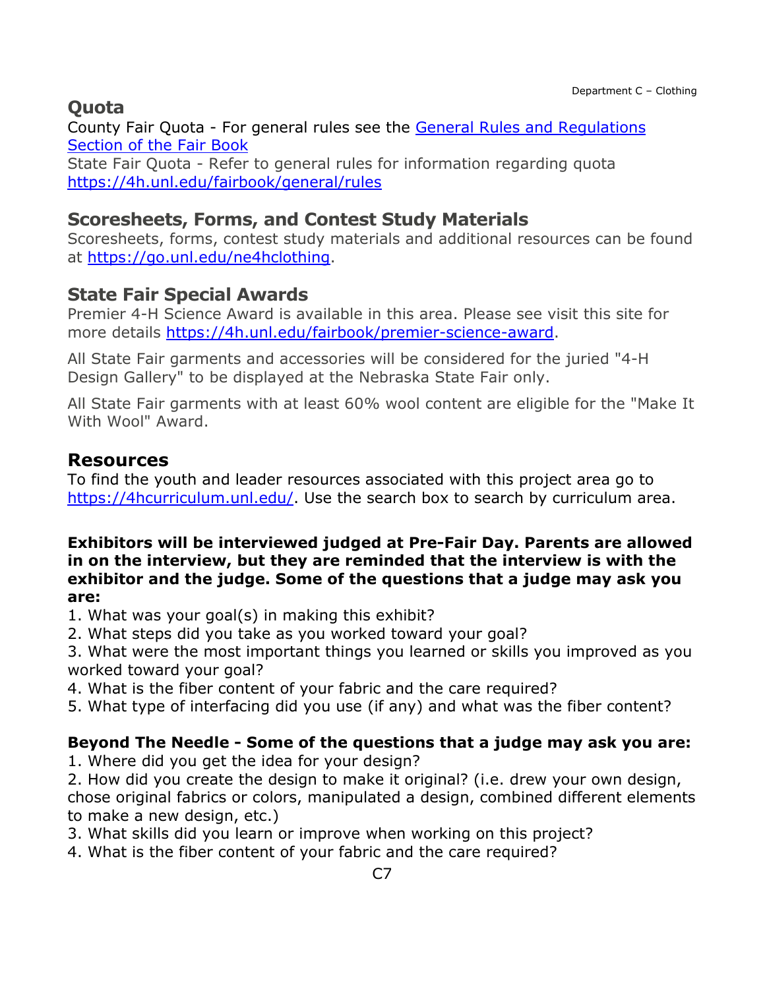## **Quota**

County Fair Quota - For general rules see the [General Rules and Regulations](https://unl.box.com/s/e7w1cmzwit0us89x96k1h2gdrs51dsy2)  [Section of the Fair Book](https://unl.box.com/s/e7w1cmzwit0us89x96k1h2gdrs51dsy2)

State Fair Quota - Refer to general rules for information regarding quota <https://4h.unl.edu/fairbook/general/rules>

### **Scoresheets, Forms, and Contest Study Materials**

Scoresheets, forms, contest study materials and additional resources can be found at [https://go.unl.edu/ne4hclothing.](https://go.unl.edu/ne4hclothing)

### **State Fair Special Awards**

Premier 4-H Science Award is available in this area. Please see visit this site for more details [https://4h.unl.edu/fairbook/premier-science-award.](https://4h.unl.edu/fairbook/premier-science-award)

All State Fair garments and accessories will be considered for the juried "4-H Design Gallery" to be displayed at the Nebraska State Fair only.

All State Fair garments with at least 60% wool content are eligible for the "Make It With Wool" Award.

#### **Resources**

To find the youth and leader resources associated with this project area go to [https://4hcurriculum.unl.edu/.](https://4hcurriculum.unl.edu/) Use the search box to search by curriculum area.

#### **Exhibitors will be interviewed judged at Pre-Fair Day. Parents are allowed in on the interview, but they are reminded that the interview is with the exhibitor and the judge. Some of the questions that a judge may ask you are:**

- 1. What was your goal(s) in making this exhibit?
- 2. What steps did you take as you worked toward your goal?

3. What were the most important things you learned or skills you improved as you worked toward your goal?

- 4. What is the fiber content of your fabric and the care required?
- 5. What type of interfacing did you use (if any) and what was the fiber content?

#### **Beyond The Needle - Some of the questions that a judge may ask you are:**

1. Where did you get the idea for your design?

2. How did you create the design to make it original? (i.e. drew your own design,

chose original fabrics or colors, manipulated a design, combined different elements to make a new design, etc.)

- 3. What skills did you learn or improve when working on this project?
- 4. What is the fiber content of your fabric and the care required?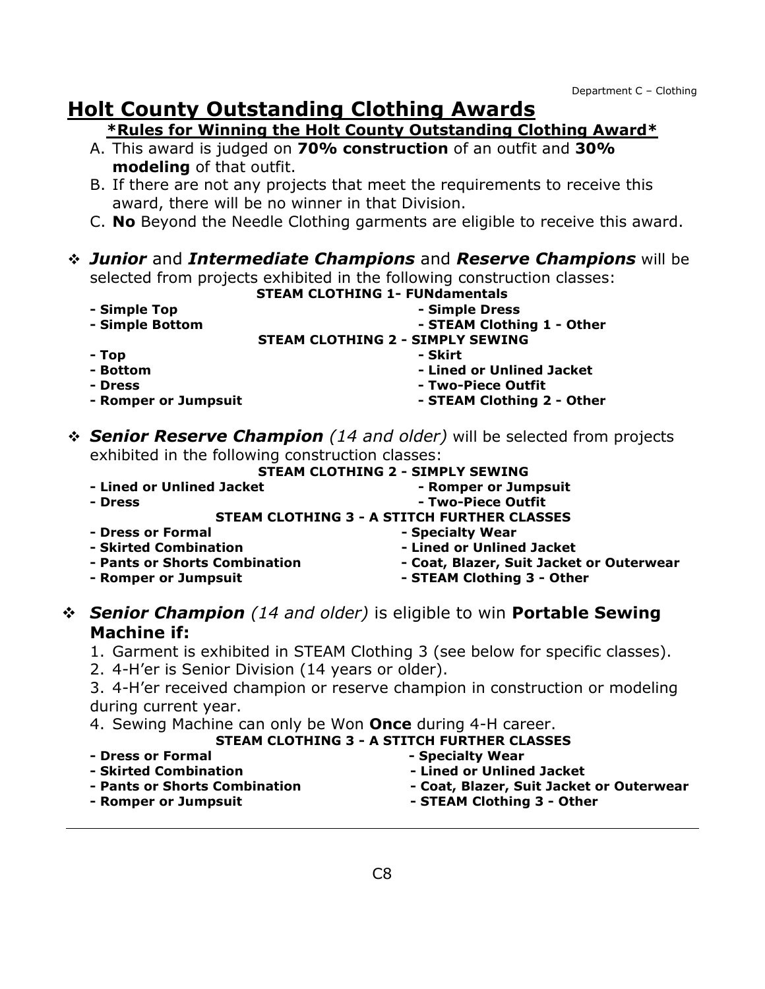# **Holt County Outstanding Clothing Awards**

#### **\*Rules for Winning the Holt County Outstanding Clothing Award\***

- A. This award is judged on **70% construction** of an outfit and **30% modeling** of that outfit.
- B. If there are not any projects that meet the requirements to receive this award, there will be no winner in that Division.
- C. **No** Beyond the Needle Clothing garments are eligible to receive this award.

### *Junior* and *Intermediate Champions* and *Reserve Champions* will be

selected from projects exhibited in the following construction classes:

#### **STEAM CLOTHING 1- FUNdamentals**

- **- Simple Top - Simple Bottom - Simple Dress - STEAM Clothing 1 - Other STEAM CLOTHING 2 - SIMPLY SEWING - Top - Skirt**
- **- Bottom - Lined or Unlined Jacket - Dress - Romper or Jumpsuit - Two-Piece Outfit - STEAM Clothing 2 - Other**
- *Senior Reserve Champion (14 and older)* will be selected from projects exhibited in the following construction classes:

|                           | STEAM CLOTHING 2 - SIMPLY SEWING                   |
|---------------------------|----------------------------------------------------|
| - Lined or Unlined Jacket | - Romper or Jumpsuit                               |
| - Dress                   | - Two-Piece Outfit                                 |
|                           | <b>STEAM CLOTHING 3 - A STITCH FURTHER CLASSES</b> |

- **- Dress or Formal**
- **- Skirted Combination**
- **- Pants or Shorts Combination**
- **- Romper or Jumpsuit**
- **- Specialty Wear - Lined or Unlined Jacket**
- **- Coat, Blazer, Suit Jacket or Outerwear** 
	- **- STEAM Clothing 3 - Other**

#### *Senior Champion (14 and older)* is eligible to win **Portable Sewing Machine if:**

- 1. Garment is exhibited in STEAM Clothing 3 (see below for specific classes).
- 2. 4-H'er is Senior Division (14 years or older).

3. 4-H'er received champion or reserve champion in construction or modeling during current year.

4. Sewing Machine can only be Won **Once** during 4-H career.

#### **STEAM CLOTHING 3 - A STITCH FURTHER CLASSES**

**- Dress or Formal** 

**- Specialty Wear** 

- **- Skirted Combination**
- **- Pants or Shorts Combination**
- **- Lined or Unlined Jacket**
- **- Coat, Blazer, Suit Jacket or Outerwear**

**- Romper or Jumpsuit** 

- 
- **- STEAM Clothing 3 - Other**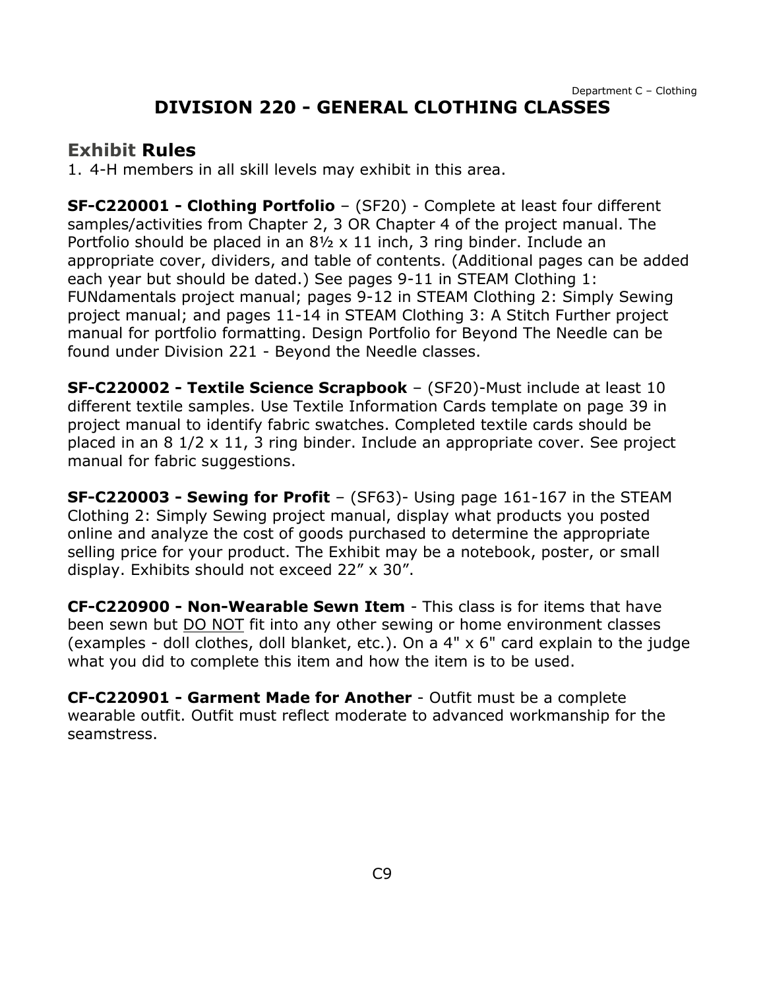## <span id="page-9-0"></span>**Exhibit Rules**

1. 4-H members in all skill levels may exhibit in this area.

**SF-C220001 - Clothing Portfolio** – (SF20) - Complete at least four different samples/activities from Chapter 2, 3 OR Chapter 4 of the project manual. The Portfolio should be placed in an  $8\frac{1}{2} \times 11$  inch, 3 ring binder. Include an appropriate cover, dividers, and table of contents. (Additional pages can be added each year but should be dated.) See pages 9-11 in STEAM Clothing 1: FUNdamentals project manual; pages 9-12 in STEAM Clothing 2: Simply Sewing project manual; and pages 11-14 in STEAM Clothing 3: A Stitch Further project manual for portfolio formatting. Design Portfolio for Beyond The Needle can be found under Division 221 - Beyond the Needle classes.

**SF-C220002 - Textile Science Scrapbook** – (SF20)-Must include at least 10 different textile samples. Use Textile Information Cards template on page 39 in project manual to identify fabric swatches. Completed textile cards should be placed in an 8 1/2 x 11, 3 ring binder. Include an appropriate cover. See project manual for fabric suggestions.

**SF-C220003 - Sewing for Profit** – (SF63)- Using page 161-167 in the STEAM Clothing 2: Simply Sewing project manual, display what products you posted online and analyze the cost of goods purchased to determine the appropriate selling price for your product. The Exhibit may be a notebook, poster, or small display. Exhibits should not exceed 22" x 30".

**CF-C220900 - Non-Wearable Sewn Item** - This class is for items that have been sewn but DO NOT fit into any other sewing or home environment classes (examples - doll clothes, doll blanket, etc.). On a 4" x 6" card explain to the judge what you did to complete this item and how the item is to be used.

**CF-C220901 - Garment Made for Another** - Outfit must be a complete wearable outfit. Outfit must reflect moderate to advanced workmanship for the seamstress.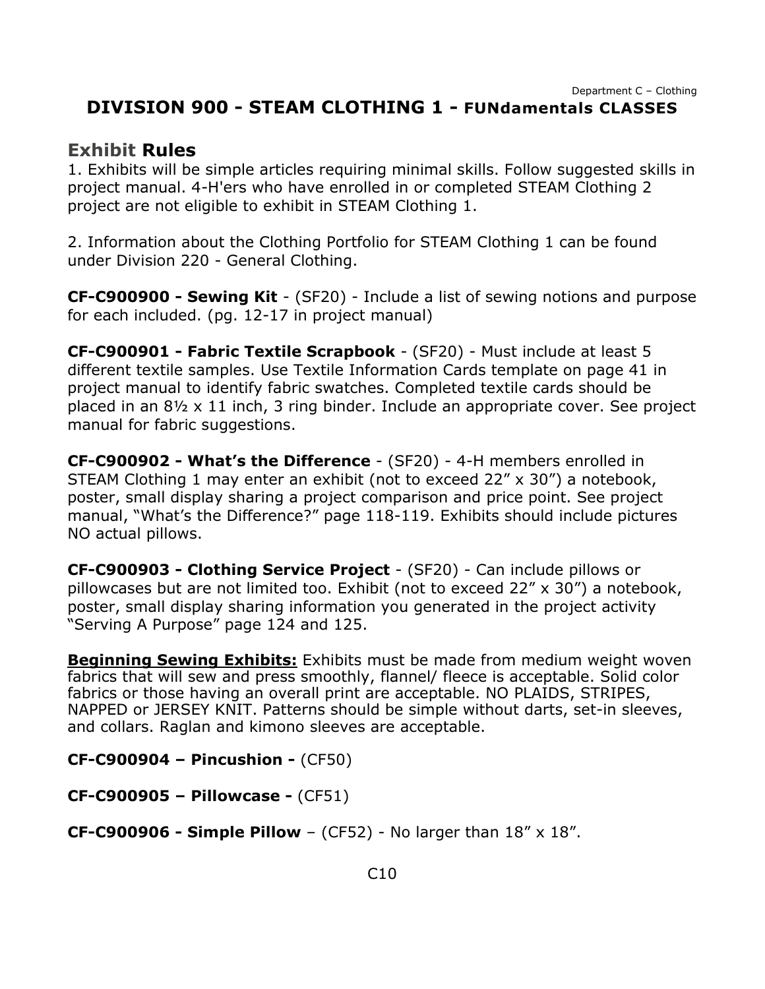### <span id="page-10-0"></span>**DIVISION 900 - STEAM CLOTHING 1 - FUNdamentals CLASSES**

#### **Exhibit Rules**

1. Exhibits will be simple articles requiring minimal skills. Follow suggested skills in project manual. 4-H'ers who have enrolled in or completed STEAM Clothing 2 project are not eligible to exhibit in STEAM Clothing 1.

2. Information about the Clothing Portfolio for STEAM Clothing 1 can be found under Division 220 - General Clothing.

**CF-C900900 - Sewing Kit** - (SF20) - Include a list of sewing notions and purpose for each included. (pg. 12-17 in project manual)

**CF-C900901 - Fabric Textile Scrapbook** - (SF20) - Must include at least 5 different textile samples. Use Textile Information Cards template on page 41 in project manual to identify fabric swatches. Completed textile cards should be placed in an 8½ x 11 inch, 3 ring binder. Include an appropriate cover. See project manual for fabric suggestions.

**CF-C900902 - What's the Difference** - (SF20) - 4-H members enrolled in STEAM Clothing 1 may enter an exhibit (not to exceed 22" x 30") a notebook, poster, small display sharing a project comparison and price point. See project manual, "What's the Difference?" page 118-119. Exhibits should include pictures NO actual pillows.

**CF-C900903 - Clothing Service Project** - (SF20) - Can include pillows or pillowcases but are not limited too. Exhibit (not to exceed 22" x 30") a notebook, poster, small display sharing information you generated in the project activity "Serving A Purpose" page 124 and 125.

**Beginning Sewing Exhibits:** Exhibits must be made from medium weight woven fabrics that will sew and press smoothly, flannel/ fleece is acceptable. Solid color fabrics or those having an overall print are acceptable. NO PLAIDS, STRIPES, NAPPED or JERSEY KNIT. Patterns should be simple without darts, set-in sleeves, and collars. Raglan and kimono sleeves are acceptable.

**CF-C900904 – Pincushion -** (CF50)

**CF-C900905 – Pillowcase -** (CF51)

**CF-C900906 - Simple Pillow** – (CF52) - No larger than 18" x 18".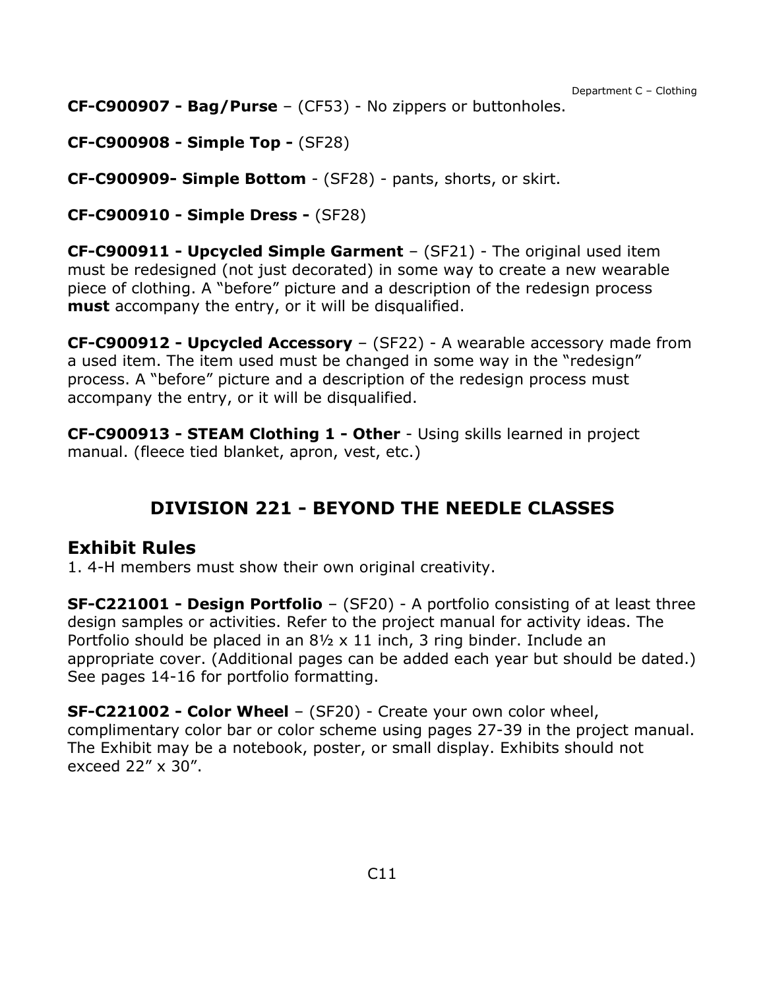**CF-C900907 - Bag/Purse** – (CF53) - No zippers or buttonholes.

**CF-C900908 - Simple Top -** (SF28)

**CF-C900909- Simple Bottom** - (SF28) - pants, shorts, or skirt.

**CF-C900910 - Simple Dress -** (SF28)

**CF-C900911 - Upcycled Simple Garment** – (SF21) - The original used item must be redesigned (not just decorated) in some way to create a new wearable piece of clothing. A "before" picture and a description of the redesign process **must** accompany the entry, or it will be disqualified.

**CF-C900912 - Upcycled Accessory** – (SF22) - A wearable accessory made from a used item. The item used must be changed in some way in the "redesign" process. A "before" picture and a description of the redesign process must accompany the entry, or it will be disqualified.

**CF-C900913 - STEAM Clothing 1 - Other** - Using skills learned in project manual. (fleece tied blanket, apron, vest, etc.)

## **DIVISION 221 - BEYOND THE NEEDLE CLASSES**

### <span id="page-11-0"></span>**Exhibit Rules**

1. 4-H members must show their own original creativity.

**SF-C221001 - Design Portfolio** – (SF20) - A portfolio consisting of at least three design samples or activities. Refer to the project manual for activity ideas. The Portfolio should be placed in an 8½ x 11 inch, 3 ring binder. Include an appropriate cover. (Additional pages can be added each year but should be dated.) See pages 14-16 for portfolio formatting.

**SF-C221002 - Color Wheel** – (SF20) - Create your own color wheel, complimentary color bar or color scheme using pages 27-39 in the project manual. The Exhibit may be a notebook, poster, or small display. Exhibits should not exceed 22" x 30".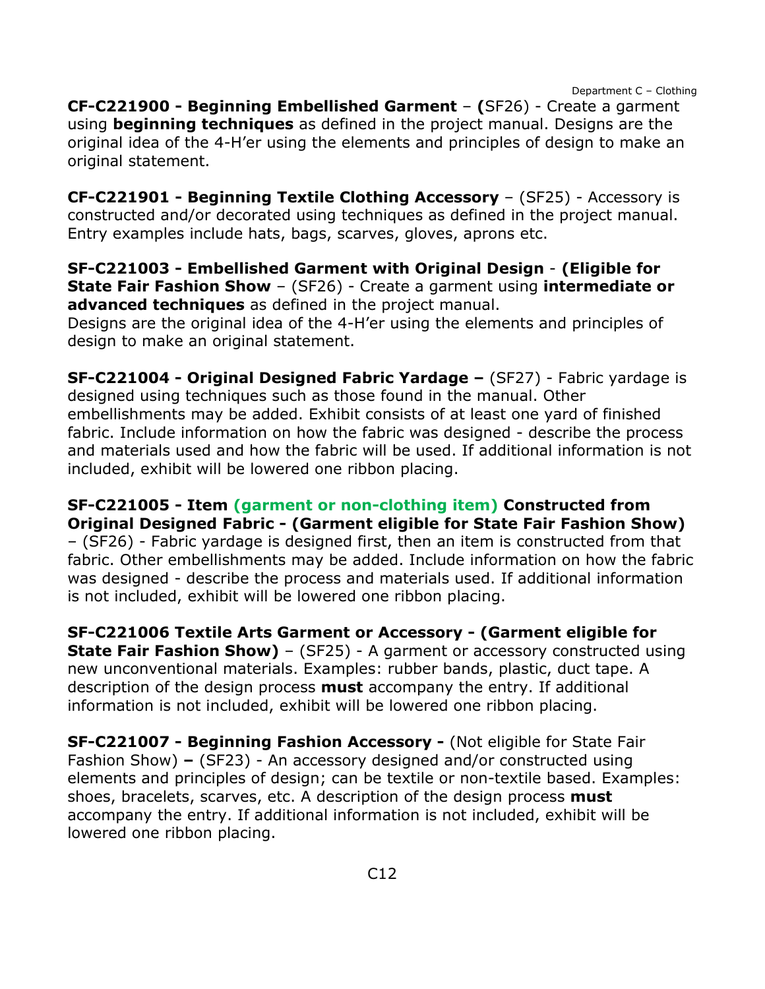**CF-C221900 - Beginning Embellished Garment** – **(**SF26) - Create a garment using **beginning techniques** as defined in the project manual. Designs are the original idea of the 4-H'er using the elements and principles of design to make an original statement.

**CF-C221901 - Beginning Textile Clothing Accessory** – (SF25) - Accessory is constructed and/or decorated using techniques as defined in the project manual. Entry examples include hats, bags, scarves, gloves, aprons etc.

**SF-C221003 - Embellished Garment with Original Design** - **(Eligible for State Fair Fashion Show** – (SF26) - Create a garment using **intermediate or advanced techniques** as defined in the project manual.

Designs are the original idea of the 4-H'er using the elements and principles of design to make an original statement.

**SF-C221004 - Original Designed Fabric Yardage –** (SF27) - Fabric yardage is designed using techniques such as those found in the manual. Other embellishments may be added. Exhibit consists of at least one yard of finished fabric. Include information on how the fabric was designed - describe the process and materials used and how the fabric will be used. If additional information is not included, exhibit will be lowered one ribbon placing.

**SF-C221005 - Item (garment or non-clothing item) Constructed from Original Designed Fabric - (Garment eligible for State Fair Fashion Show)** – (SF26) - Fabric yardage is designed first, then an item is constructed from that fabric. Other embellishments may be added. Include information on how the fabric was designed - describe the process and materials used. If additional information is not included, exhibit will be lowered one ribbon placing.

**SF-C221006 Textile Arts Garment or Accessory - (Garment eligible for State Fair Fashion Show)** – (SF25) - A garment or accessory constructed using new unconventional materials. Examples: rubber bands, plastic, duct tape. A description of the design process **must** accompany the entry. If additional information is not included, exhibit will be lowered one ribbon placing.

**SF-C221007 - Beginning Fashion Accessory -** (Not eligible for State Fair Fashion Show) **–** (SF23) - An accessory designed and/or constructed using elements and principles of design; can be textile or non-textile based. Examples: shoes, bracelets, scarves, etc. A description of the design process **must** accompany the entry. If additional information is not included, exhibit will be lowered one ribbon placing.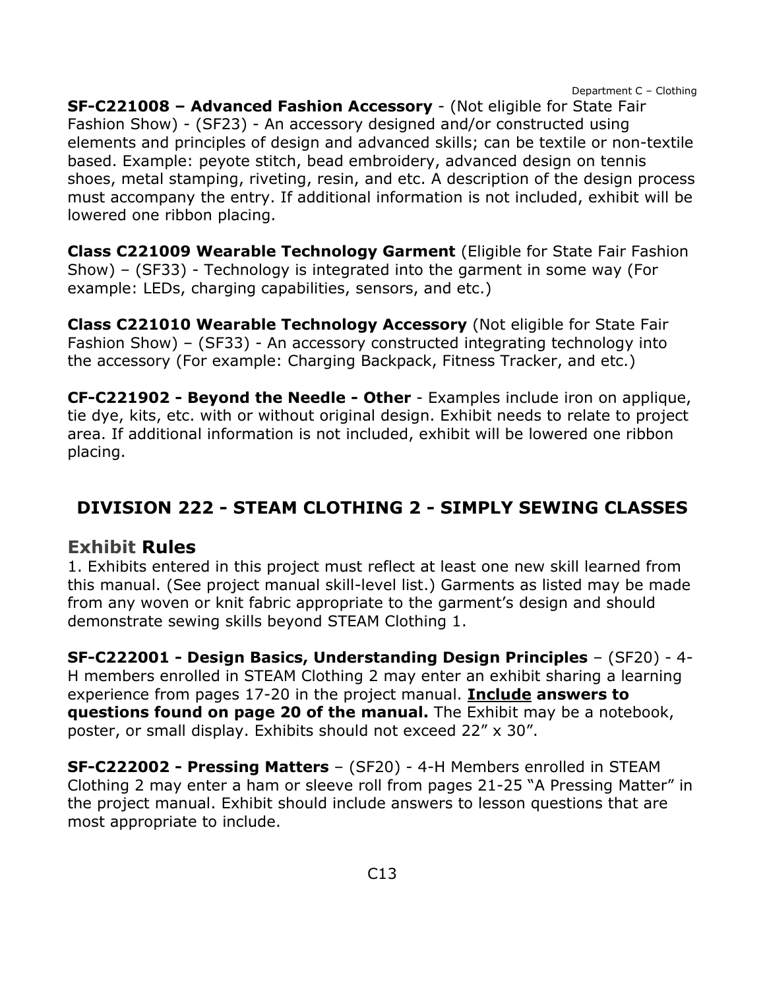**SF-C221008 – Advanced Fashion Accessory** - (Not eligible for State Fair Fashion Show) - (SF23) - An accessory designed and/or constructed using elements and principles of design and advanced skills; can be textile or non-textile based. Example: peyote stitch, bead embroidery, advanced design on tennis shoes, metal stamping, riveting, resin, and etc. A description of the design process must accompany the entry. If additional information is not included, exhibit will be lowered one ribbon placing.

**Class C221009 Wearable Technology Garment** (Eligible for State Fair Fashion Show) – (SF33) - Technology is integrated into the garment in some way (For example: LEDs, charging capabilities, sensors, and etc.)

**Class C221010 Wearable Technology Accessory** (Not eligible for State Fair Fashion Show) – (SF33) - An accessory constructed integrating technology into the accessory (For example: Charging Backpack, Fitness Tracker, and etc.)

**CF-C221902 - Beyond the Needle - Other** - Examples include iron on applique, tie dye, kits, etc. with or without original design. Exhibit needs to relate to project area. If additional information is not included, exhibit will be lowered one ribbon placing.

## <span id="page-13-0"></span>**DIVISION 222 - STEAM CLOTHING 2 - SIMPLY SEWING CLASSES**

### **Exhibit Rules**

1. Exhibits entered in this project must reflect at least one new skill learned from this manual. (See project manual skill-level list.) Garments as listed may be made from any woven or knit fabric appropriate to the garment's design and should demonstrate sewing skills beyond STEAM Clothing 1.

**SF-C222001 - Design Basics, Understanding Design Principles** – (SF20) - 4- H members enrolled in STEAM Clothing 2 may enter an exhibit sharing a learning experience from pages 17-20 in the project manual. **Include answers to questions found on page 20 of the manual.** The Exhibit may be a notebook, poster, or small display. Exhibits should not exceed 22" x 30".

**SF-C222002 - Pressing Matters** – (SF20) - 4-H Members enrolled in STEAM Clothing 2 may enter a ham or sleeve roll from pages 21-25 "A Pressing Matter" in the project manual. Exhibit should include answers to lesson questions that are most appropriate to include.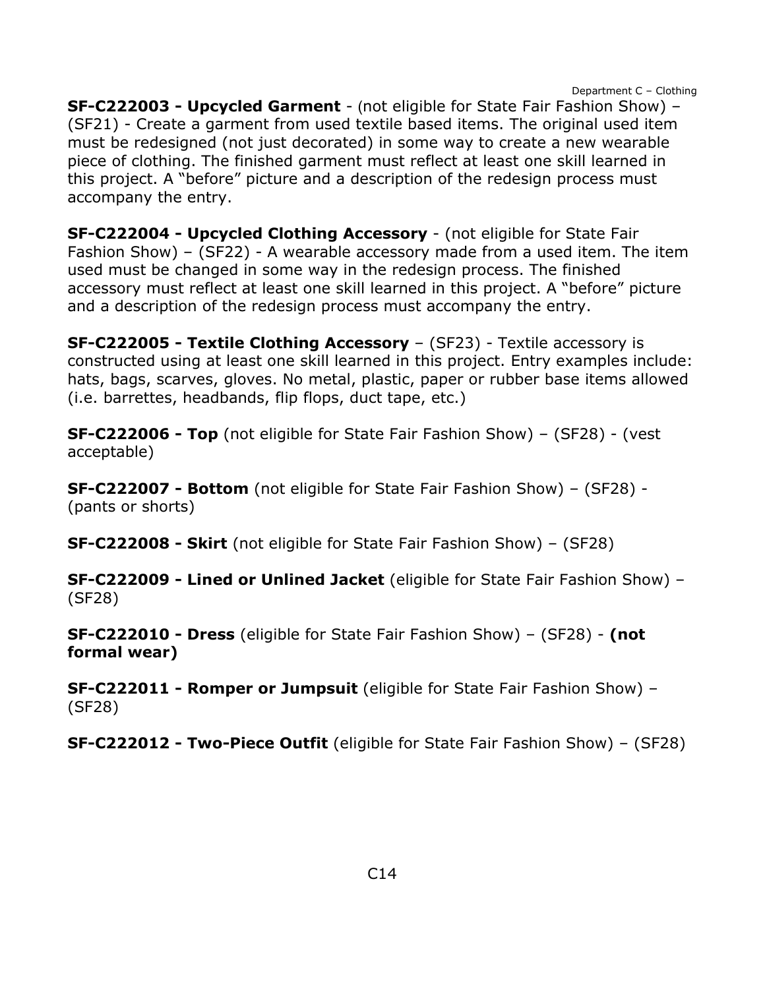**SF-C222003 - Upcycled Garment** - (not eligible for State Fair Fashion Show) – (SF21) - Create a garment from used textile based items. The original used item must be redesigned (not just decorated) in some way to create a new wearable piece of clothing. The finished garment must reflect at least one skill learned in this project. A "before" picture and a description of the redesign process must accompany the entry.

**SF-C222004 - Upcycled Clothing Accessory** - (not eligible for State Fair Fashion Show) – (SF22) - A wearable accessory made from a used item. The item used must be changed in some way in the redesign process. The finished accessory must reflect at least one skill learned in this project. A "before" picture and a description of the redesign process must accompany the entry.

**SF-C222005 - Textile Clothing Accessory** – (SF23) - Textile accessory is constructed using at least one skill learned in this project. Entry examples include: hats, bags, scarves, gloves. No metal, plastic, paper or rubber base items allowed (i.e. barrettes, headbands, flip flops, duct tape, etc.)

**SF-C222006 - Top** (not eligible for State Fair Fashion Show) – (SF28) - (vest acceptable)

**SF-C222007 - Bottom** (not eligible for State Fair Fashion Show) – (SF28) - (pants or shorts)

**SF-C222008 - Skirt** (not eligible for State Fair Fashion Show) – (SF28)

**SF-C222009 - Lined or Unlined Jacket** (eligible for State Fair Fashion Show) – (SF28)

**SF-C222010 - Dress** (eligible for State Fair Fashion Show) – (SF28) - **(not formal wear)**

**SF-C222011 - Romper or Jumpsuit** (eligible for State Fair Fashion Show) – (SF28)

**SF-C222012 - Two-Piece Outfit** (eligible for State Fair Fashion Show) – (SF28)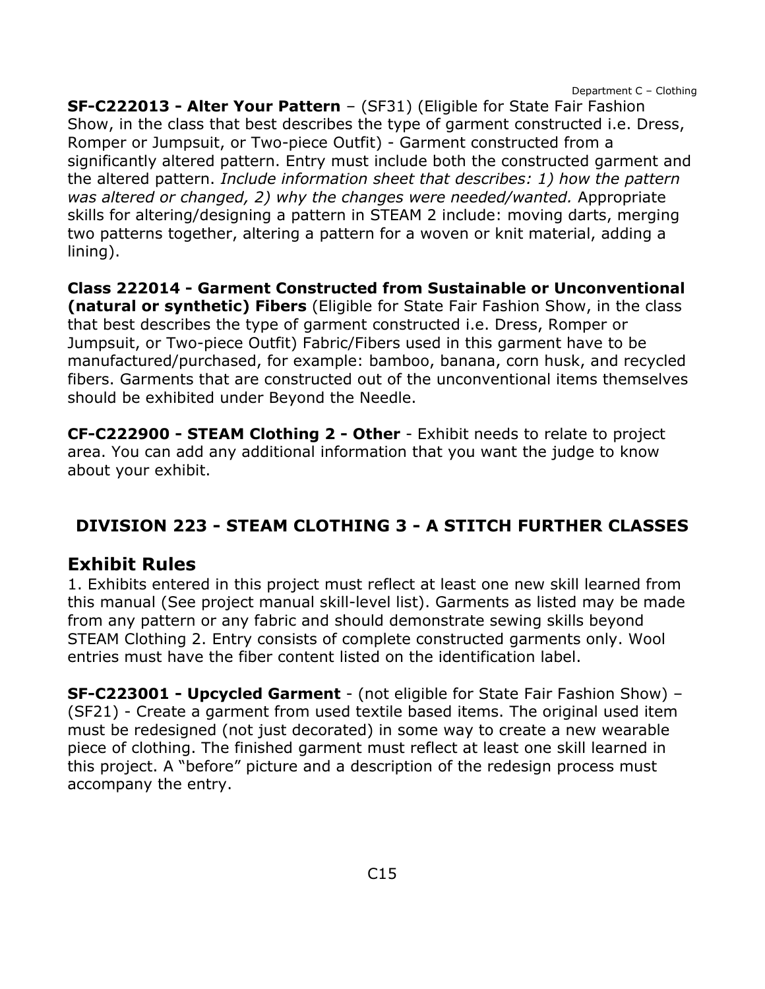**SF-C222013 - Alter Your Pattern** – (SF31) (Eligible for State Fair Fashion Show, in the class that best describes the type of garment constructed i.e. Dress, Romper or Jumpsuit, or Two-piece Outfit) - Garment constructed from a significantly altered pattern. Entry must include both the constructed garment and the altered pattern. *Include information sheet that describes: 1) how the pattern was altered or changed, 2) why the changes were needed/wanted.* Appropriate skills for altering/designing a pattern in STEAM 2 include: moving darts, merging two patterns together, altering a pattern for a woven or knit material, adding a lining).

**Class 222014 - Garment Constructed from Sustainable or Unconventional (natural or synthetic) Fibers** (Eligible for State Fair Fashion Show, in the class that best describes the type of garment constructed i.e. Dress, Romper or Jumpsuit, or Two-piece Outfit) Fabric/Fibers used in this garment have to be manufactured/purchased, for example: bamboo, banana, corn husk, and recycled fibers. Garments that are constructed out of the unconventional items themselves should be exhibited under Beyond the Needle.

**CF-C222900 - STEAM Clothing 2 - Other** - Exhibit needs to relate to project area. You can add any additional information that you want the judge to know about your exhibit.

## <span id="page-15-0"></span>**DIVISION 223 - STEAM CLOTHING 3 - A STITCH FURTHER CLASSES**

### **Exhibit Rules**

1. Exhibits entered in this project must reflect at least one new skill learned from this manual (See project manual skill-level list). Garments as listed may be made from any pattern or any fabric and should demonstrate sewing skills beyond STEAM Clothing 2. Entry consists of complete constructed garments only. Wool entries must have the fiber content listed on the identification label.

**SF-C223001 - Upcycled Garment** - (not eligible for State Fair Fashion Show) – (SF21) - Create a garment from used textile based items. The original used item must be redesigned (not just decorated) in some way to create a new wearable piece of clothing. The finished garment must reflect at least one skill learned in this project. A "before" picture and a description of the redesign process must accompany the entry.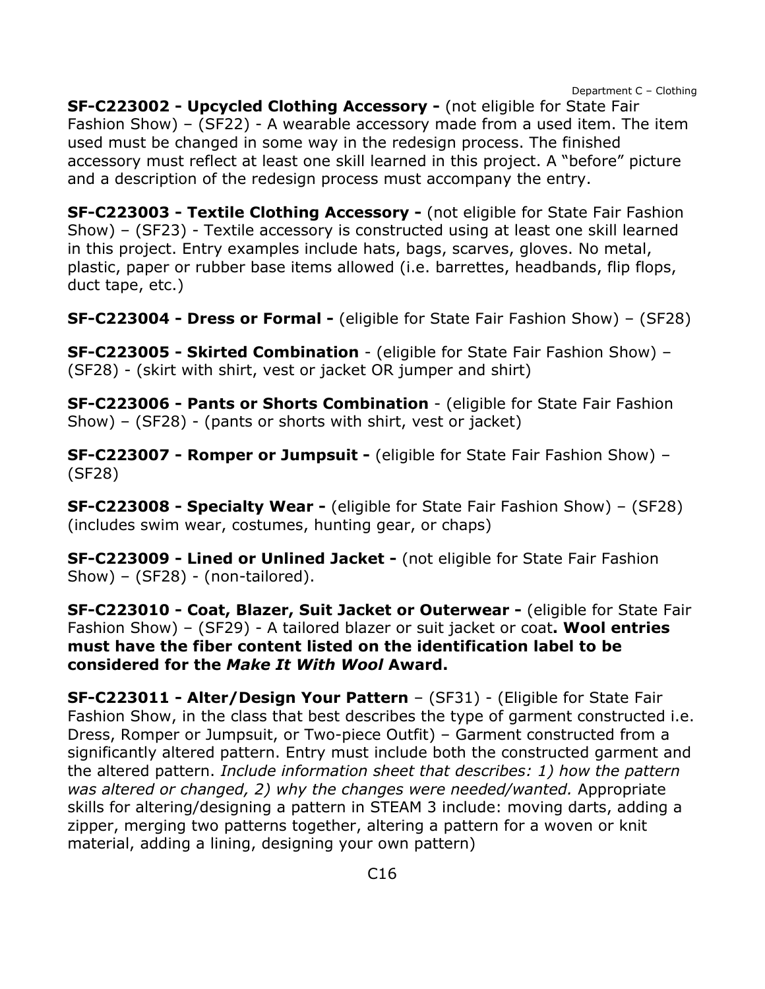**SF-C223002 - Upcycled Clothing Accessory -** (not eligible for State Fair Fashion Show) – (SF22) - A wearable accessory made from a used item. The item used must be changed in some way in the redesign process. The finished accessory must reflect at least one skill learned in this project. A "before" picture and a description of the redesign process must accompany the entry.

**SF-C223003 - Textile Clothing Accessory -** (not eligible for State Fair Fashion Show) – (SF23) - Textile accessory is constructed using at least one skill learned in this project. Entry examples include hats, bags, scarves, gloves. No metal, plastic, paper or rubber base items allowed (i.e. barrettes, headbands, flip flops, duct tape, etc.)

**SF-C223004 - Dress or Formal -** (eligible for State Fair Fashion Show) – (SF28)

**SF-C223005 - Skirted Combination** - (eligible for State Fair Fashion Show) – (SF28) - (skirt with shirt, vest or jacket OR jumper and shirt)

**SF-C223006 - Pants or Shorts Combination** - (eligible for State Fair Fashion Show) – (SF28) - (pants or shorts with shirt, vest or jacket)

**SF-C223007 - Romper or Jumpsuit -** (eligible for State Fair Fashion Show) – (SF28)

**SF-C223008 - Specialty Wear -** (eligible for State Fair Fashion Show) – (SF28) (includes swim wear, costumes, hunting gear, or chaps)

**SF-C223009 - Lined or Unlined Jacket -** (not eligible for State Fair Fashion Show) –  $(SF28)$  - (non-tailored).

**SF-C223010 - Coat, Blazer, Suit Jacket or Outerwear -** (eligible for State Fair Fashion Show) – (SF29) - A tailored blazer or suit jacket or coat**. Wool entries must have the fiber content listed on the identification label to be considered for the** *Make It With Wool* **Award.**

**SF-C223011 - Alter/Design Your Pattern** – (SF31) - (Eligible for State Fair Fashion Show, in the class that best describes the type of garment constructed i.e. Dress, Romper or Jumpsuit, or Two-piece Outfit) – Garment constructed from a significantly altered pattern. Entry must include both the constructed garment and the altered pattern. *Include information sheet that describes: 1) how the pattern was altered or changed, 2) why the changes were needed/wanted.* Appropriate skills for altering/designing a pattern in STEAM 3 include: moving darts, adding a zipper, merging two patterns together, altering a pattern for a woven or knit material, adding a lining, designing your own pattern)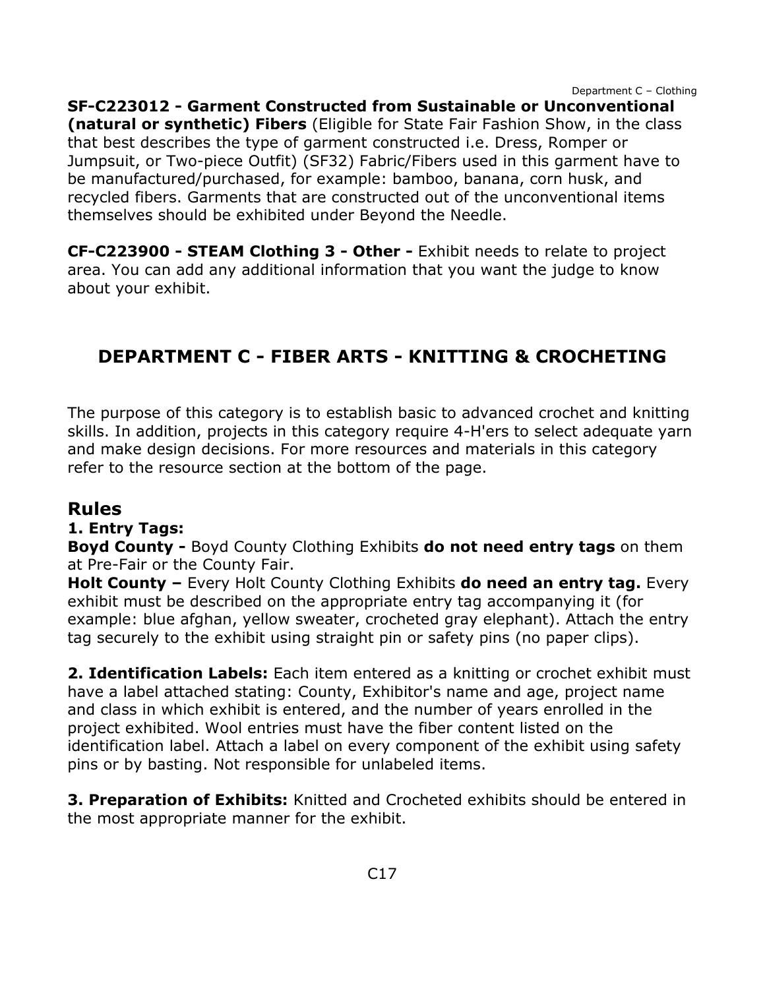**SF-C223012 - Garment Constructed from Sustainable or Unconventional (natural or synthetic) Fibers** (Eligible for State Fair Fashion Show, in the class that best describes the type of garment constructed i.e. Dress, Romper or Jumpsuit, or Two-piece Outfit) (SF32) Fabric/Fibers used in this garment have to be manufactured/purchased, for example: bamboo, banana, corn husk, and recycled fibers. Garments that are constructed out of the unconventional items themselves should be exhibited under Beyond the Needle.

**CF-C223900 - STEAM Clothing 3 - Other -** Exhibit needs to relate to project area. You can add any additional information that you want the judge to know about your exhibit.

## <span id="page-17-0"></span>**DEPARTMENT C - FIBER ARTS - KNITTING & CROCHETING**

The purpose of this category is to establish basic to advanced crochet and knitting skills. In addition, projects in this category require 4-H'ers to select adequate yarn and make design decisions. For more resources and materials in this category refer to the resource section at the bottom of the page.

## **Rules**

#### **1. Entry Tags:**

**Boyd County -** Boyd County Clothing Exhibits **do not need entry tags** on them at Pre-Fair or the County Fair.

**Holt County –** Every Holt County Clothing Exhibits **do need an entry tag.** Every exhibit must be described on the appropriate entry tag accompanying it (for example: blue afghan, yellow sweater, crocheted gray elephant). Attach the entry tag securely to the exhibit using straight pin or safety pins (no paper clips).

**2. Identification Labels:** Each item entered as a knitting or crochet exhibit must have a label attached stating: County, Exhibitor's name and age, project name and class in which exhibit is entered, and the number of years enrolled in the project exhibited. Wool entries must have the fiber content listed on the identification label. Attach a label on every component of the exhibit using safety pins or by basting. Not responsible for unlabeled items.

**3. Preparation of Exhibits:** Knitted and Crocheted exhibits should be entered in the most appropriate manner for the exhibit.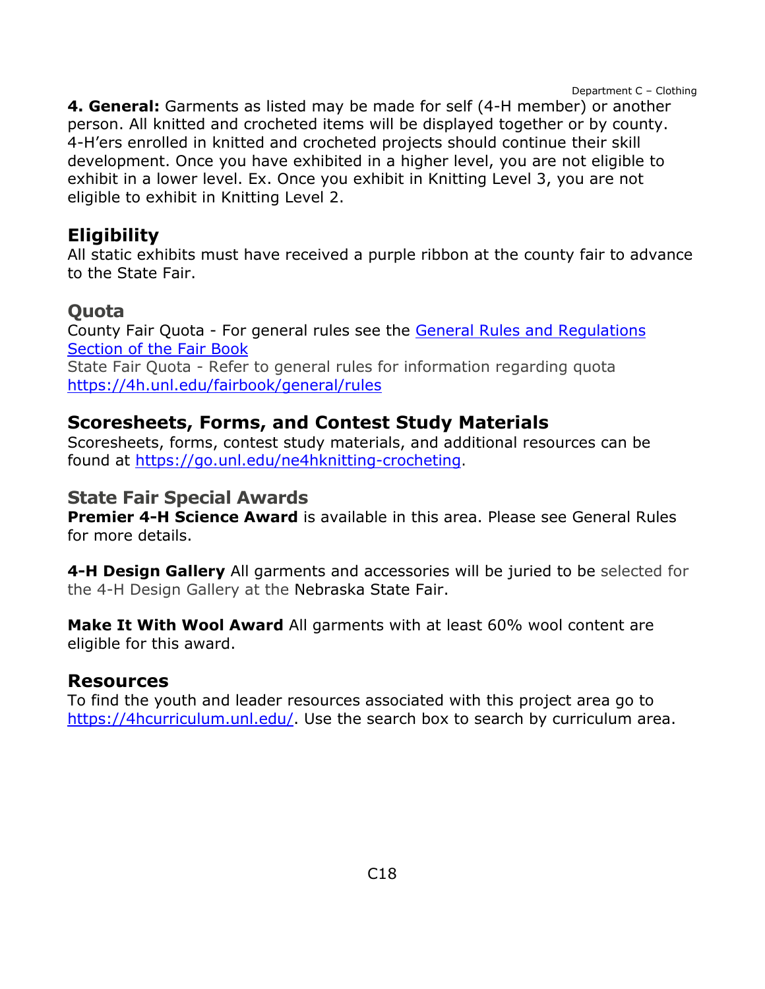**4. General:** Garments as listed may be made for self (4-H member) or another person. All knitted and crocheted items will be displayed together or by county. 4-H'ers enrolled in knitted and crocheted projects should continue their skill development. Once you have exhibited in a higher level, you are not eligible to exhibit in a lower level. Ex. Once you exhibit in Knitting Level 3, you are not eligible to exhibit in Knitting Level 2.

## **Eligibility**

All static exhibits must have received a purple ribbon at the county fair to advance to the State Fair.

### **Quota**

County Fair Quota - For general rules see the [General Rules and Regulations](https://unl.box.com/s/e7w1cmzwit0us89x96k1h2gdrs51dsy2)  [Section of the Fair Book](https://unl.box.com/s/e7w1cmzwit0us89x96k1h2gdrs51dsy2) State Fair Quota - Refer to general rules for information regarding quota <https://4h.unl.edu/fairbook/general/rules>

## **Scoresheets, Forms, and Contest Study Materials**

Scoresheets, forms, contest study materials, and additional resources can be found at [https://go.unl.edu/ne4hknitting-crocheting.](https://go.unl.edu/ne4hknitting-crocheting)

### **State Fair Special Awards**

**Premier 4-H Science Award** is available in this area. Please see General Rules for more details.

**4-H Design Gallery** All garments and accessories will be juried to be selected for the 4-H Design Gallery at the Nebraska State Fair.

**Make It With Wool Award** All garments with at least 60% wool content are eligible for this award.

### **Resources**

To find the youth and leader resources associated with this project area go to [https://4hcurriculum.unl.edu/.](https://4hcurriculum.unl.edu/) Use the search box to search by curriculum area.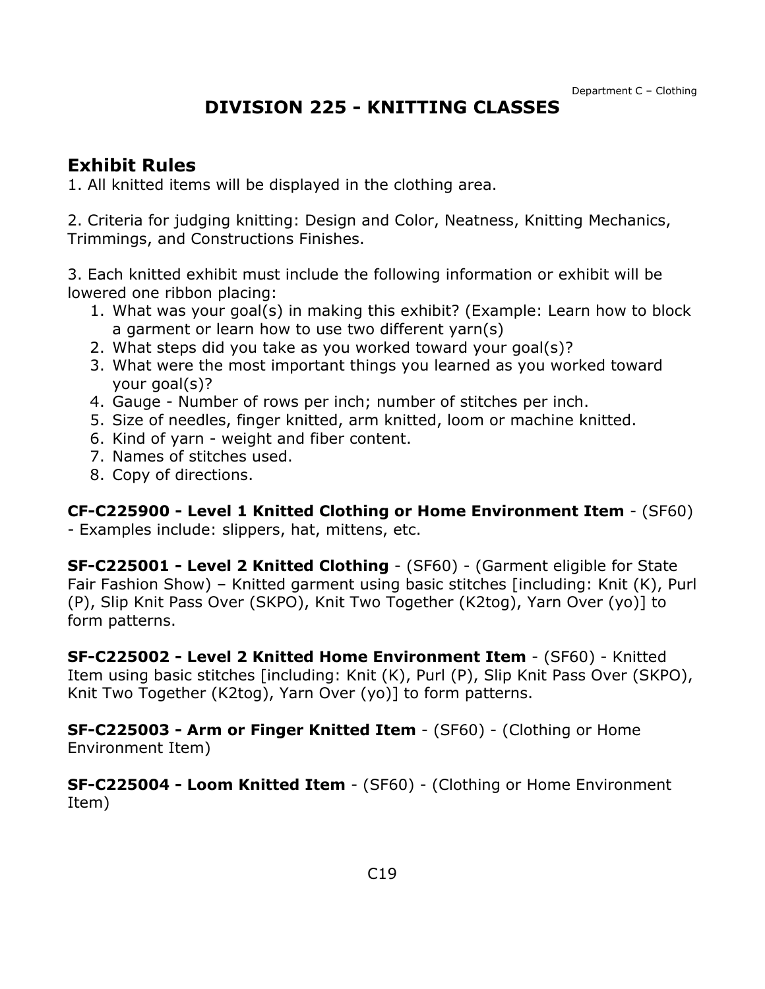## **DIVISION 225 - KNITTING CLASSES**

### <span id="page-19-0"></span>**Exhibit Rules**

1. All knitted items will be displayed in the clothing area.

2. Criteria for judging knitting: Design and Color, Neatness, Knitting Mechanics, Trimmings, and Constructions Finishes.

3. Each knitted exhibit must include the following information or exhibit will be lowered one ribbon placing:

- 1. What was your goal(s) in making this exhibit? (Example: Learn how to block a garment or learn how to use two different yarn(s)
- 2. What steps did you take as you worked toward your goal(s)?
- 3. What were the most important things you learned as you worked toward your goal(s)?
- 4. Gauge Number of rows per inch; number of stitches per inch.
- 5. Size of needles, finger knitted, arm knitted, loom or machine knitted.
- 6. Kind of yarn weight and fiber content.
- 7. Names of stitches used.
- 8. Copy of directions.

**CF-C225900 - Level 1 Knitted Clothing or Home Environment Item** - (SF60) - Examples include: slippers, hat, mittens, etc.

**SF-C225001 - Level 2 Knitted Clothing** - (SF60) - (Garment eligible for State Fair Fashion Show) – Knitted garment using basic stitches [including: Knit (K), Purl (P), Slip Knit Pass Over (SKPO), Knit Two Together (K2tog), Yarn Over (yo)] to form patterns.

**SF-C225002 - Level 2 Knitted Home Environment Item** - (SF60) - Knitted Item using basic stitches [including: Knit (K), Purl (P), Slip Knit Pass Over (SKPO), Knit Two Together (K2tog), Yarn Over (yo)] to form patterns.

**SF-C225003 - Arm or Finger Knitted Item** - (SF60) - (Clothing or Home Environment Item)

**SF-C225004 - Loom Knitted Item** - (SF60) - (Clothing or Home Environment Item)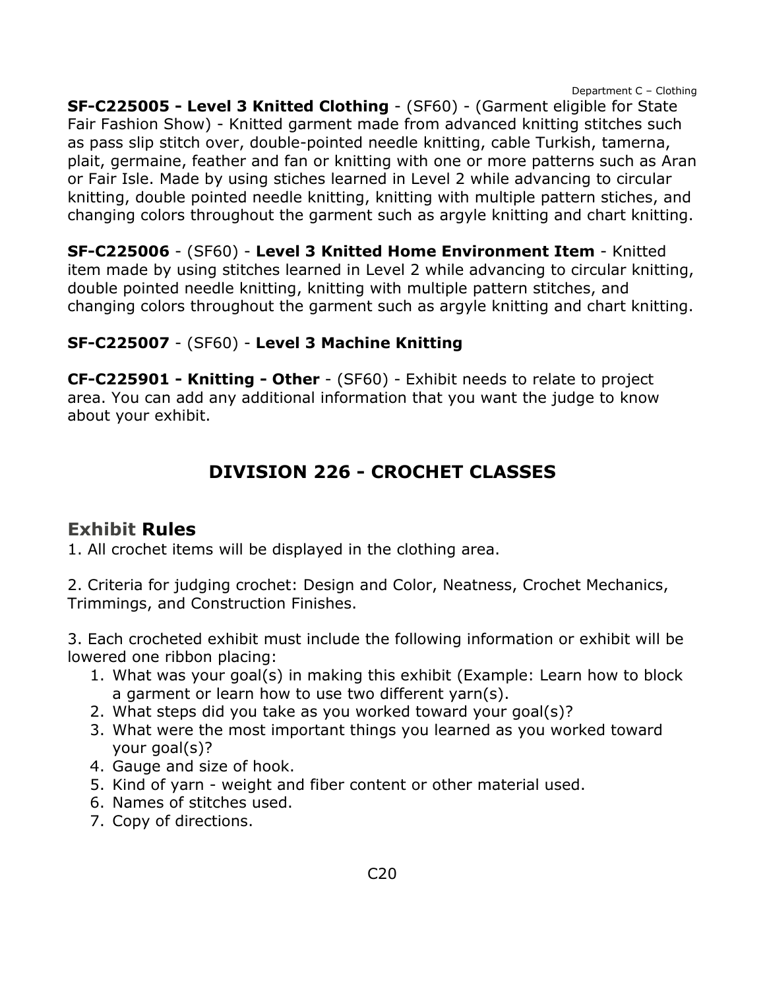**SF-C225005 - Level 3 Knitted Clothing** - (SF60) - (Garment eligible for State Fair Fashion Show) - Knitted garment made from advanced knitting stitches such as pass slip stitch over, double-pointed needle knitting, cable Turkish, tamerna, plait, germaine, feather and fan or knitting with one or more patterns such as Aran or Fair Isle. Made by using stiches learned in Level 2 while advancing to circular knitting, double pointed needle knitting, knitting with multiple pattern stiches, and changing colors throughout the garment such as argyle knitting and chart knitting.

**SF-C225006** - (SF60) - **Level 3 Knitted Home Environment Item** - Knitted item made by using stitches learned in Level 2 while advancing to circular knitting, double pointed needle knitting, knitting with multiple pattern stitches, and changing colors throughout the garment such as argyle knitting and chart knitting.

### **SF-C225007** - (SF60) - **Level 3 Machine Knitting**

**CF-C225901 - Knitting - Other** - (SF60) - Exhibit needs to relate to project area. You can add any additional information that you want the judge to know about your exhibit.

# **DIVISION 226 - CROCHET CLASSES**

## <span id="page-20-0"></span>**Exhibit Rules**

1. All crochet items will be displayed in the clothing area.

2. Criteria for judging crochet: Design and Color, Neatness, Crochet Mechanics, Trimmings, and Construction Finishes.

3. Each crocheted exhibit must include the following information or exhibit will be lowered one ribbon placing:

- 1. What was your goal(s) in making this exhibit (Example: Learn how to block a garment or learn how to use two different yarn(s).
- 2. What steps did you take as you worked toward your goal(s)?
- 3. What were the most important things you learned as you worked toward your goal(s)?
- 4. Gauge and size of hook.
- 5. Kind of yarn weight and fiber content or other material used.
- 6. Names of stitches used.
- 7. Copy of directions.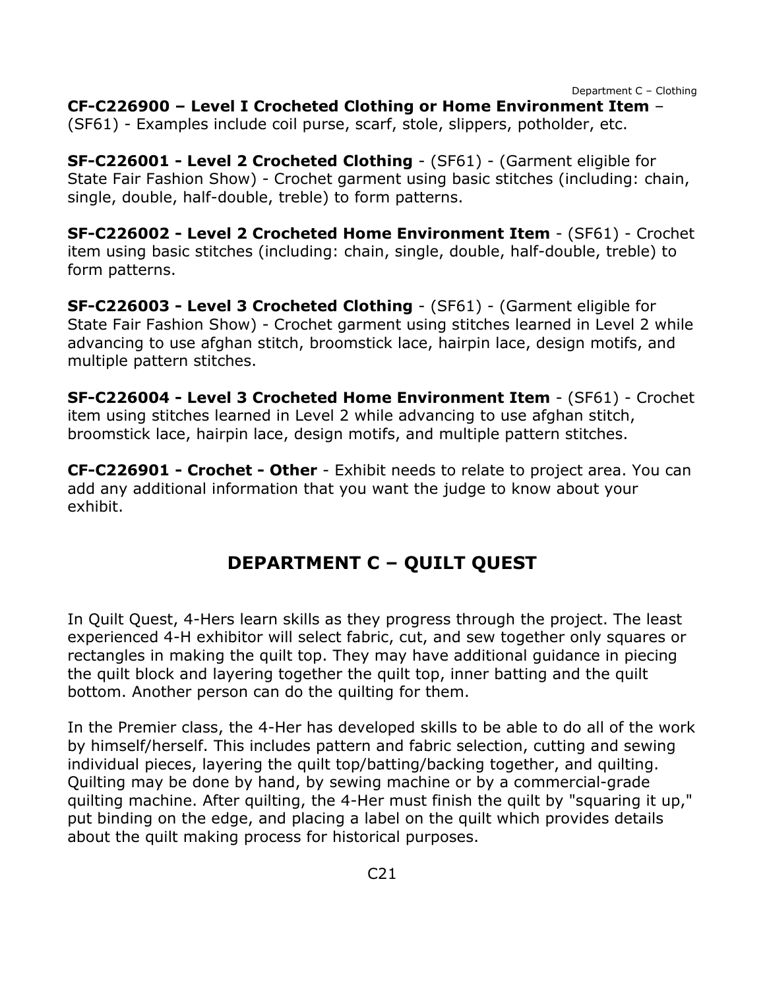**CF-C226900 – Level I Crocheted Clothing or Home Environment Item** –

(SF61) - Examples include coil purse, scarf, stole, slippers, potholder, etc.

**SF-C226001 - Level 2 Crocheted Clothing** - (SF61) - (Garment eligible for State Fair Fashion Show) - Crochet garment using basic stitches (including: chain, single, double, half-double, treble) to form patterns.

**SF-C226002 - Level 2 Crocheted Home Environment Item** - (SF61) - Crochet item using basic stitches (including: chain, single, double, half-double, treble) to form patterns.

**SF-C226003 - Level 3 Crocheted Clothing** - (SF61) - (Garment eligible for State Fair Fashion Show) - Crochet garment using stitches learned in Level 2 while advancing to use afghan stitch, broomstick lace, hairpin lace, design motifs, and multiple pattern stitches.

**SF-C226004 - Level 3 Crocheted Home Environment Item** - (SF61) - Crochet item using stitches learned in Level 2 while advancing to use afghan stitch, broomstick lace, hairpin lace, design motifs, and multiple pattern stitches.

**CF-C226901 - Crochet - Other** - Exhibit needs to relate to project area. You can add any additional information that you want the judge to know about your exhibit.

## **DEPARTMENT C – QUILT QUEST**

<span id="page-21-0"></span>In Quilt Quest, 4-Hers learn skills as they progress through the project. The least experienced 4-H exhibitor will select fabric, cut, and sew together only squares or rectangles in making the quilt top. They may have additional guidance in piecing the quilt block and layering together the quilt top, inner batting and the quilt bottom. Another person can do the quilting for them.

In the Premier class, the 4-Her has developed skills to be able to do all of the work by himself/herself. This includes pattern and fabric selection, cutting and sewing individual pieces, layering the quilt top/batting/backing together, and quilting. Quilting may be done by hand, by sewing machine or by a commercial-grade quilting machine. After quilting, the 4-Her must finish the quilt by "squaring it up," put binding on the edge, and placing a label on the quilt which provides details about the quilt making process for historical purposes.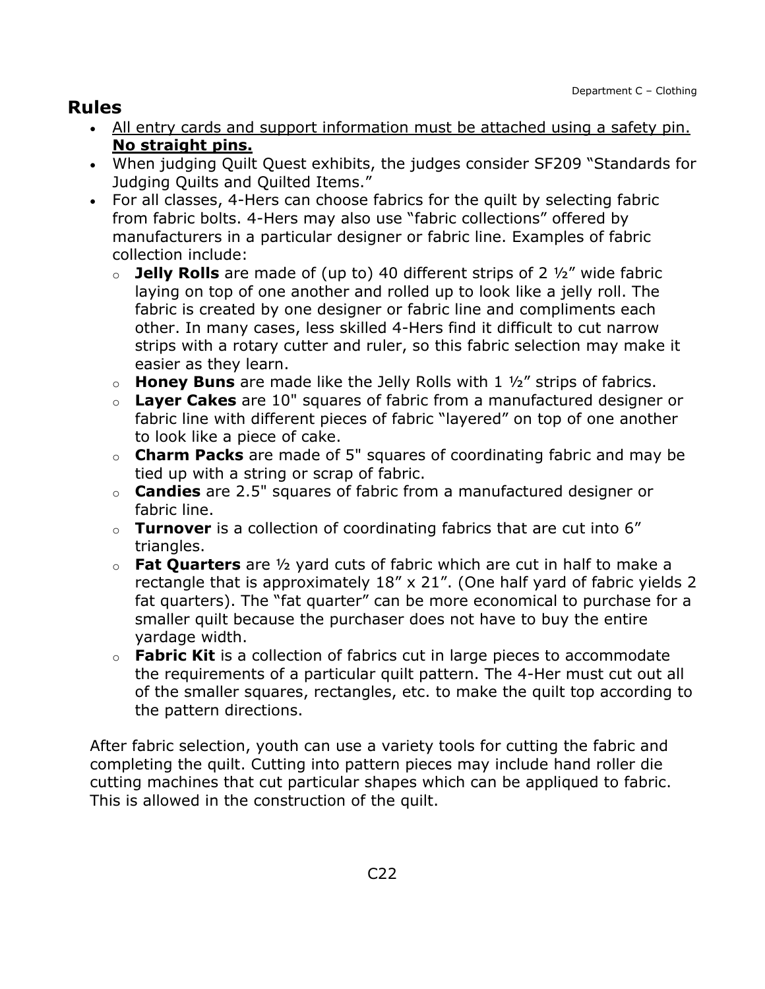## **Rules**

- All entry cards and support information must be attached using a safety pin. **No straight pins.**
- When judging Quilt Quest exhibits, the judges consider SF209 "Standards for Judging Quilts and Quilted Items."
- For all classes, 4-Hers can choose fabrics for the quilt by selecting fabric from fabric bolts. 4-Hers may also use "fabric collections" offered by manufacturers in a particular designer or fabric line. Examples of fabric collection include:
	- o **Jelly Rolls** are made of (up to) 40 different strips of 2 ½" wide fabric laying on top of one another and rolled up to look like a jelly roll. The fabric is created by one designer or fabric line and compliments each other. In many cases, less skilled 4-Hers find it difficult to cut narrow strips with a rotary cutter and ruler, so this fabric selection may make it easier as they learn.
	- o **Honey Buns** are made like the Jelly Rolls with 1 ½" strips of fabrics.
	- o **Layer Cakes** are 10" squares of fabric from a manufactured designer or fabric line with different pieces of fabric "layered" on top of one another to look like a piece of cake.
	- o **Charm Packs** are made of 5" squares of coordinating fabric and may be tied up with a string or scrap of fabric.
	- o **Candies** are 2.5" squares of fabric from a manufactured designer or fabric line.
	- o **Turnover** is a collection of coordinating fabrics that are cut into 6" triangles.
	- o **Fat Quarters** are ½ yard cuts of fabric which are cut in half to make a rectangle that is approximately 18" x 21". (One half yard of fabric yields 2 fat quarters). The "fat quarter" can be more economical to purchase for a smaller quilt because the purchaser does not have to buy the entire yardage width.
	- o **Fabric Kit** is a collection of fabrics cut in large pieces to accommodate the requirements of a particular quilt pattern. The 4-Her must cut out all of the smaller squares, rectangles, etc. to make the quilt top according to the pattern directions.

After fabric selection, youth can use a variety tools for cutting the fabric and completing the quilt. Cutting into pattern pieces may include hand roller die cutting machines that cut particular shapes which can be appliqued to fabric. This is allowed in the construction of the quilt.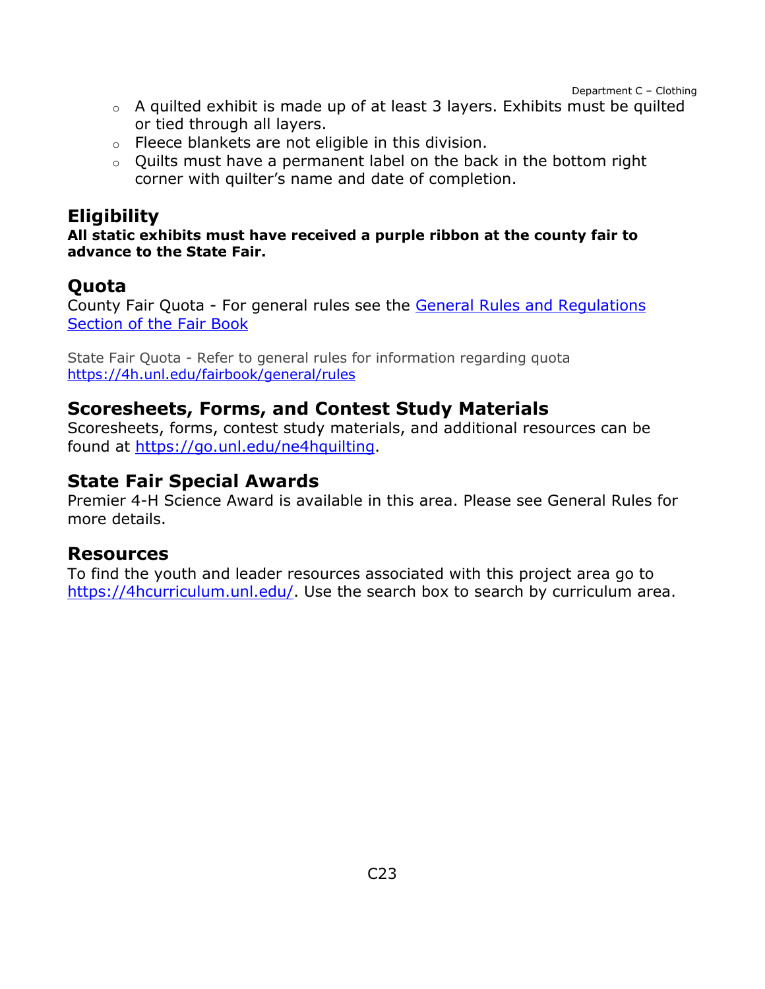- o A quilted exhibit is made up of at least 3 layers. Exhibits must be quilted or tied through all layers.
- o Fleece blankets are not eligible in this division.
- $\circ$  Ouilts must have a permanent label on the back in the bottom right corner with quilter's name and date of completion.

## **Eligibility**

**All static exhibits must have received a purple ribbon at the county fair to advance to the State Fair.**

## **Quota**

County Fair Quota - For general rules see the [General Rules and Regulations](https://unl.box.com/s/e7w1cmzwit0us89x96k1h2gdrs51dsy2)  [Section of the Fair Book](https://unl.box.com/s/e7w1cmzwit0us89x96k1h2gdrs51dsy2)

State Fair Quota - Refer to general rules for information regarding quota <https://4h.unl.edu/fairbook/general/rules>

### **Scoresheets, Forms, and Contest Study Materials**

Scoresheets, forms, contest study materials, and additional resources can be found at [https://go.unl.edu/ne4hquilting.](http://go.unl.edu/ne4hquilting)

### **State Fair Special Awards**

Premier 4-H Science Award is available in this area. Please see General Rules for more details.

#### **Resources**

To find the youth and leader resources associated with this project area go to [https://4hcurriculum.unl.edu/.](https://4hcurriculum.unl.edu/) Use the search box to search by curriculum area.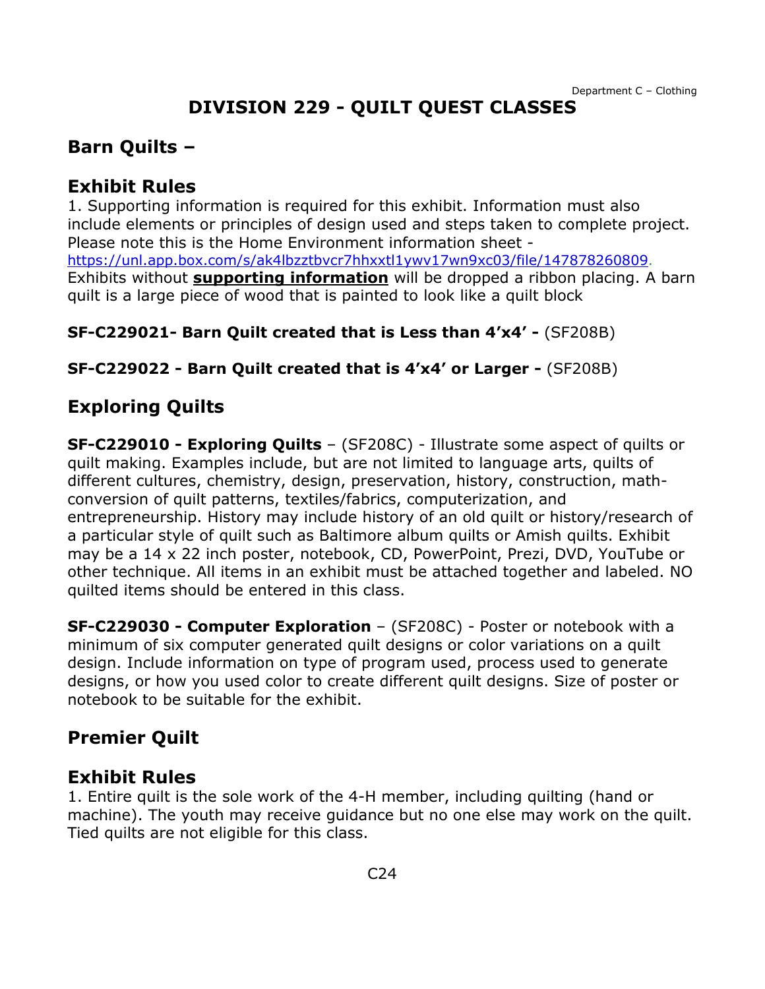# **DIVISION 229 - QUILT QUEST CLASSES**

## <span id="page-24-0"></span>**Barn Quilts –**

### **Exhibit Rules**

1. Supporting information is required for this exhibit. Information must also include elements or principles of design used and steps taken to complete project. Please note this is the Home Environment information sheet [https://unl.app.box.com/s/ak4lbzztbvcr7hhxxtl1ywv17wn9xc03/file/147878260809.](https://unl.app.box.com/s/ak4lbzztbvcr7hhxxtl1ywv17wn9xc03/file/147878260809) Exhibits without **supporting information** will be dropped a ribbon placing. A barn quilt is a large piece of wood that is painted to look like a quilt block

#### **SF-C229021- Barn Quilt created that is Less than 4'x4' -** (SF208B)

**SF-C229022 - Barn Quilt created that is 4'x4' or Larger -** (SF208B)

## **Exploring Quilts**

**SF-C229010 - Exploring Quilts** – (SF208C) - Illustrate some aspect of quilts or quilt making. Examples include, but are not limited to language arts, quilts of different cultures, chemistry, design, preservation, history, construction, mathconversion of quilt patterns, textiles/fabrics, computerization, and entrepreneurship. History may include history of an old quilt or history/research of a particular style of quilt such as Baltimore album quilts or Amish quilts. Exhibit may be a 14 x 22 inch poster, notebook, CD, PowerPoint, Prezi, DVD, YouTube or other technique. All items in an exhibit must be attached together and labeled. NO quilted items should be entered in this class.

**SF-C229030 - Computer Exploration** – (SF208C) - Poster or notebook with a minimum of six computer generated quilt designs or color variations on a quilt design. Include information on type of program used, process used to generate designs, or how you used color to create different quilt designs. Size of poster or notebook to be suitable for the exhibit.

## **Premier Quilt**

### **Exhibit Rules**

1. Entire quilt is the sole work of the 4-H member, including quilting (hand or machine). The youth may receive guidance but no one else may work on the quilt. Tied quilts are not eligible for this class.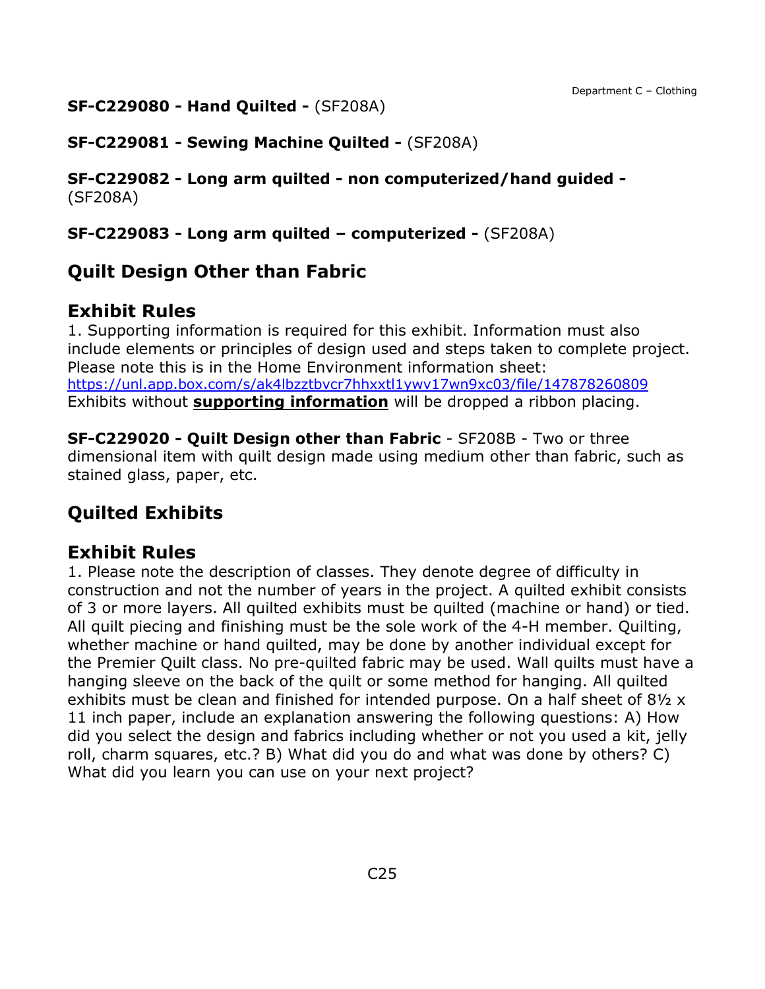#### **SF-C229080 - Hand Quilted -** (SF208A)

**SF-C229081 - Sewing Machine Quilted -** (SF208A)

**SF-C229082 - Long arm quilted - non computerized/hand guided -** (SF208A)

**SF-C229083 - Long arm quilted – computerized -** (SF208A)

## **Quilt Design Other than Fabric**

### **Exhibit Rules**

1. Supporting information is required for this exhibit. Information must also include elements or principles of design used and steps taken to complete project. Please note this is in the Home Environment information sheet: <https://unl.app.box.com/s/ak4lbzztbvcr7hhxxtl1ywv17wn9xc03/file/147878260809> Exhibits without **supporting information** will be dropped a ribbon placing.

**SF-C229020 - Quilt Design other than Fabric** - SF208B - Two or three dimensional item with quilt design made using medium other than fabric, such as stained glass, paper, etc.

## **Quilted Exhibits**

### **Exhibit Rules**

1. Please note the description of classes. They denote degree of difficulty in construction and not the number of years in the project. A quilted exhibit consists of 3 or more layers. All quilted exhibits must be quilted (machine or hand) or tied. All quilt piecing and finishing must be the sole work of the 4-H member. Quilting, whether machine or hand quilted, may be done by another individual except for the Premier Quilt class. No pre-quilted fabric may be used. Wall quilts must have a hanging sleeve on the back of the quilt or some method for hanging. All quilted exhibits must be clean and finished for intended purpose. On a half sheet of 8½ x 11 inch paper, include an explanation answering the following questions: A) How did you select the design and fabrics including whether or not you used a kit, jelly roll, charm squares, etc.? B) What did you do and what was done by others? C) What did you learn you can use on your next project?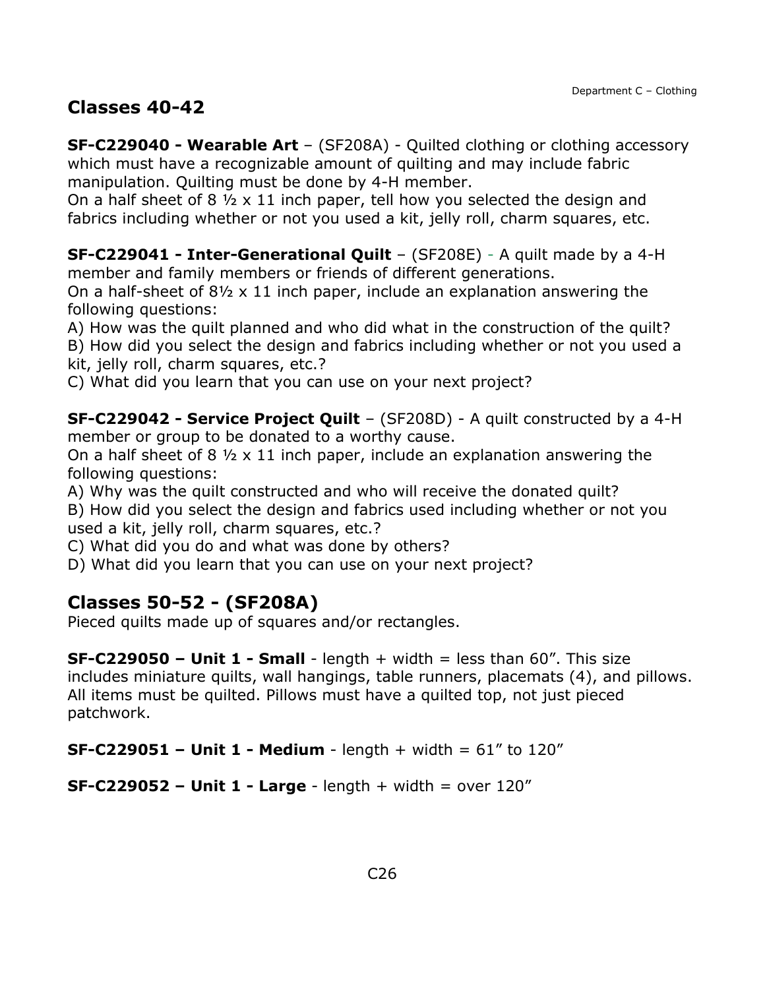## **Classes 40-42**

**SF-C229040 - Wearable Art** – (SF208A) - Quilted clothing or clothing accessory which must have a recognizable amount of quilting and may include fabric manipulation. Quilting must be done by 4-H member.

On a half sheet of 8  $\frac{1}{2} \times 11$  inch paper, tell how you selected the design and fabrics including whether or not you used a kit, jelly roll, charm squares, etc.

**SF-C229041 - Inter-Generational Quilt** – (SF208E) - A quilt made by a 4-H member and family members or friends of different generations.

On a half-sheet of 8½ x 11 inch paper, include an explanation answering the following questions:

A) How was the quilt planned and who did what in the construction of the quilt?

B) How did you select the design and fabrics including whether or not you used a kit, jelly roll, charm squares, etc.?

C) What did you learn that you can use on your next project?

**SF-C229042 - Service Project Quilt** – (SF208D) - A quilt constructed by a 4-H member or group to be donated to a worthy cause.

On a half sheet of 8 ½ x 11 inch paper, include an explanation answering the following questions:

A) Why was the quilt constructed and who will receive the donated quilt?

B) How did you select the design and fabrics used including whether or not you used a kit, jelly roll, charm squares, etc.?

C) What did you do and what was done by others?

D) What did you learn that you can use on your next project?

## **Classes 50-52 - (SF208A)**

Pieced quilts made up of squares and/or rectangles.

**SF-C229050 – Unit 1 - Small** - length + width = less than 60". This size includes miniature quilts, wall hangings, table runners, placemats (4), and pillows. All items must be quilted. Pillows must have a quilted top, not just pieced patchwork.

**SF-C229051 – Unit 1 - Medium** - length + width = 61" to 120"

**SF-C229052 – Unit 1 - Large** - length + width = over 120"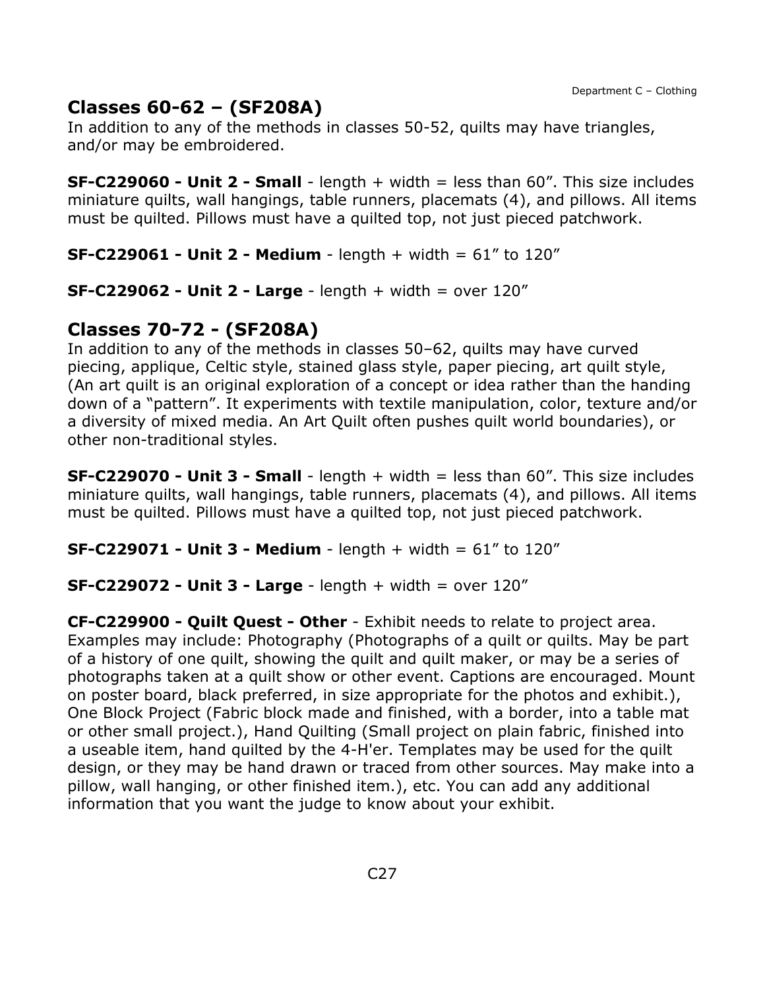## **Classes 60-62 – (SF208A)**

In addition to any of the methods in classes 50-52, quilts may have triangles, and/or may be embroidered.

**SF-C229060 - Unit 2 - Small** - length + width = less than 60". This size includes miniature quilts, wall hangings, table runners, placemats (4), and pillows. All items must be quilted. Pillows must have a quilted top, not just pieced patchwork.

**SF-C229061 - Unit 2 - Medium** - length + width = 61" to 120"

**SF-C229062 - Unit 2 - Large** - length + width = over 120"

## **Classes 70-72 - (SF208A)**

In addition to any of the methods in classes 50–62, quilts may have curved piecing, applique, Celtic style, stained glass style, paper piecing, art quilt style, (An art quilt is an original exploration of a concept or idea rather than the handing down of a "pattern". It experiments with textile manipulation, color, texture and/or a diversity of mixed media. An Art Quilt often pushes quilt world boundaries), or other non-traditional styles.

**SF-C229070 - Unit 3 - Small** - length + width = less than 60". This size includes miniature quilts, wall hangings, table runners, placemats (4), and pillows. All items must be quilted. Pillows must have a quilted top, not just pieced patchwork.

**SF-C229071 - Unit 3 - Medium** - length + width = 61" to 120"

#### **SF-C229072 - Unit 3 - Large** - length + width = over 120"

**CF-C229900 - Quilt Quest - Other** - Exhibit needs to relate to project area. Examples may include: Photography (Photographs of a quilt or quilts. May be part of a history of one quilt, showing the quilt and quilt maker, or may be a series of photographs taken at a quilt show or other event. Captions are encouraged. Mount on poster board, black preferred, in size appropriate for the photos and exhibit.), One Block Project (Fabric block made and finished, with a border, into a table mat or other small project.), Hand Quilting (Small project on plain fabric, finished into a useable item, hand quilted by the 4-H'er. Templates may be used for the quilt design, or they may be hand drawn or traced from other sources. May make into a pillow, wall hanging, or other finished item.), etc. You can add any additional information that you want the judge to know about your exhibit.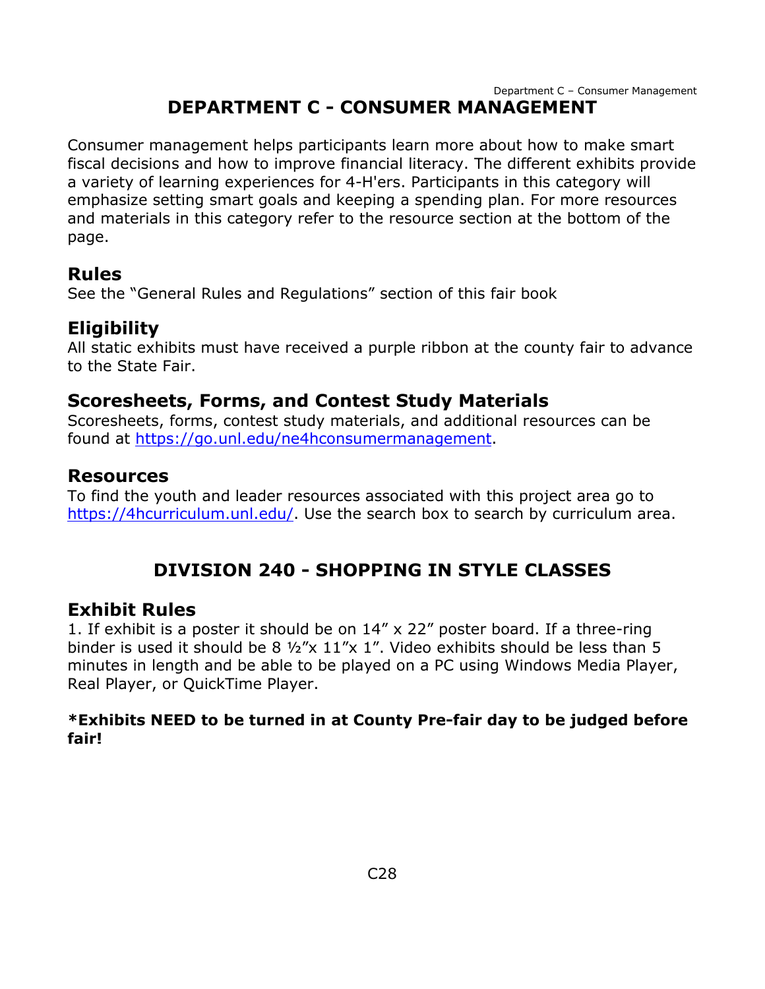## **DEPARTMENT C - CONSUMER MANAGEMENT**

<span id="page-28-0"></span>Consumer management helps participants learn more about how to make smart fiscal decisions and how to improve financial literacy. The different exhibits provide a variety of learning experiences for 4-H'ers. Participants in this category will emphasize setting smart goals and keeping a spending plan. For more resources and materials in this category refer to the resource section at the bottom of the page.

#### **Rules**

See the "General Rules and Regulations" section of this fair book

### **Eligibility**

All static exhibits must have received a purple ribbon at the county fair to advance to the State Fair.

### **Scoresheets, Forms, and Contest Study Materials**

Scoresheets, forms, contest study materials, and additional resources can be found at [https://go.unl.edu/ne4hconsumermanagement.](https://go.unl.edu/ne4hconsumermanagement)

#### **Resources**

To find the youth and leader resources associated with this project area go to [https://4hcurriculum.unl.edu/.](https://4hcurriculum.unl.edu/) Use the search box to search by curriculum area.

## **DIVISION 240 - SHOPPING IN STYLE CLASSES**

#### <span id="page-28-1"></span>**Exhibit Rules**

1. If exhibit is a poster it should be on 14" x 22" poster board. If a three-ring binder is used it should be 8  $\frac{1}{2}$  x 11"x 1". Video exhibits should be less than 5 minutes in length and be able to be played on a PC using Windows Media Player, Real Player, or QuickTime Player.

#### **\*Exhibits NEED to be turned in at County Pre-fair day to be judged before fair!**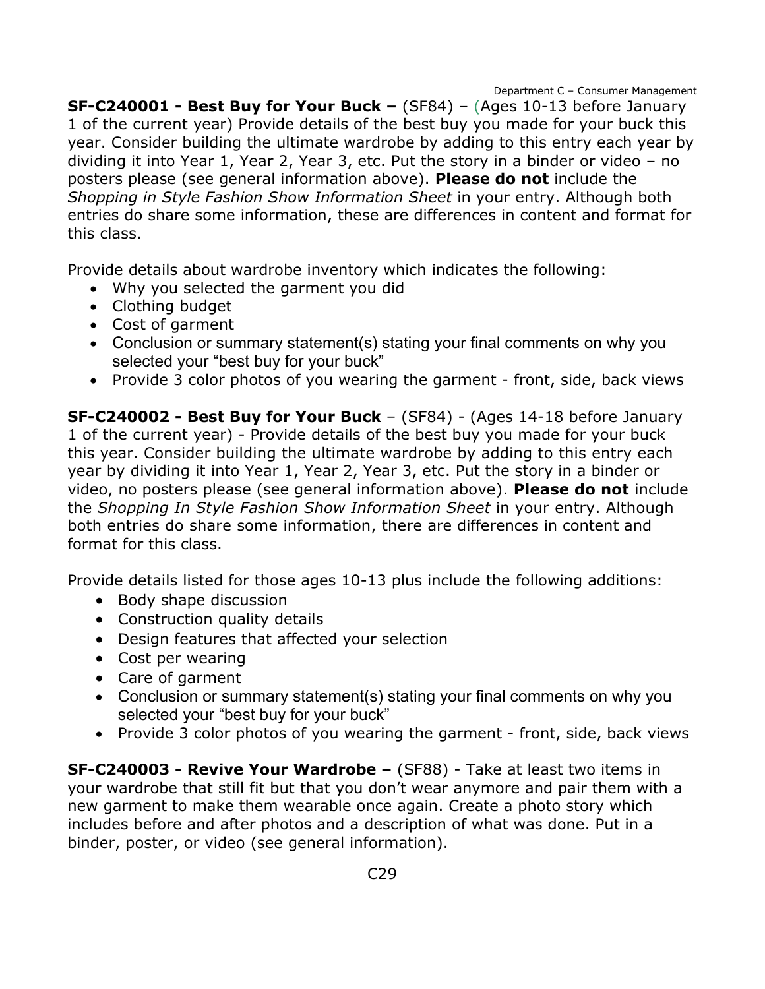**SF-C240001 - Best Buy for Your Buck –** (SF84) – (Ages 10-13 before January 1 of the current year) Provide details of the best buy you made for your buck this year. Consider building the ultimate wardrobe by adding to this entry each year by dividing it into Year 1, Year 2, Year 3, etc. Put the story in a binder or video – no posters please (see general information above). **Please do not** include the *Shopping in Style Fashion Show Information Sheet* in your entry. Although both entries do share some information, these are differences in content and format for this class.

Provide details about wardrobe inventory which indicates the following:

- Why you selected the garment you did
- Clothing budget
- Cost of garment
- Conclusion or summary statement(s) stating your final comments on why you selected your "best buy for your buck"
- Provide 3 color photos of you wearing the garment front, side, back views

**SF-C240002 - Best Buy for Your Buck** – (SF84) - (Ages 14-18 before January 1 of the current year) - Provide details of the best buy you made for your buck this year. Consider building the ultimate wardrobe by adding to this entry each year by dividing it into Year 1, Year 2, Year 3, etc. Put the story in a binder or video, no posters please (see general information above). **Please do not** include the *Shopping In Style Fashion Show Information Sheet* in your entry. Although both entries do share some information, there are differences in content and format for this class.

Provide details listed for those ages 10-13 plus include the following additions:

- Body shape discussion
- Construction quality details
- Design features that affected your selection
- Cost per wearing
- Care of garment
- Conclusion or summary statement(s) stating your final comments on why you selected your "best buy for your buck"
- Provide 3 color photos of you wearing the garment front, side, back views

**SF-C240003 - Revive Your Wardrobe –** (SF88) - Take at least two items in your wardrobe that still fit but that you don't wear anymore and pair them with a new garment to make them wearable once again. Create a photo story which includes before and after photos and a description of what was done. Put in a binder, poster, or video (see general information).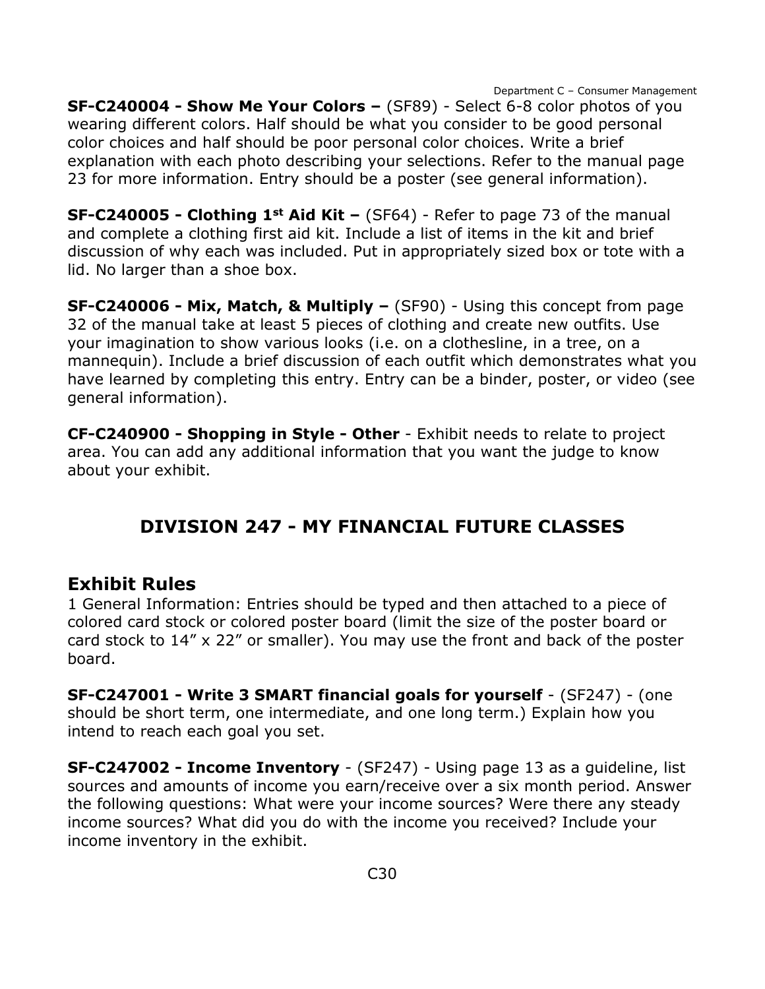**SF-C240004 - Show Me Your Colors –** (SF89) - Select 6-8 color photos of you wearing different colors. Half should be what you consider to be good personal color choices and half should be poor personal color choices. Write a brief explanation with each photo describing your selections. Refer to the manual page 23 for more information. Entry should be a poster (see general information).

**SF-C240005 - Clothing 1st Aid Kit –** (SF64) - Refer to page 73 of the manual and complete a clothing first aid kit. Include a list of items in the kit and brief discussion of why each was included. Put in appropriately sized box or tote with a lid. No larger than a shoe box.

**SF-C240006 - Mix, Match, & Multiply –** (SF90) - Using this concept from page 32 of the manual take at least 5 pieces of clothing and create new outfits. Use your imagination to show various looks (i.e. on a clothesline, in a tree, on a mannequin). Include a brief discussion of each outfit which demonstrates what you have learned by completing this entry. Entry can be a binder, poster, or video (see general information).

**CF-C240900 - Shopping in Style - Other** - Exhibit needs to relate to project area. You can add any additional information that you want the judge to know about your exhibit.

## **DIVISION 247 - MY FINANCIAL FUTURE CLASSES**

### <span id="page-30-0"></span>**Exhibit Rules**

1 General Information: Entries should be typed and then attached to a piece of colored card stock or colored poster board (limit the size of the poster board or card stock to 14" x 22" or smaller). You may use the front and back of the poster board.

**SF-C247001 - Write 3 SMART financial goals for yourself** - (SF247) - (one should be short term, one intermediate, and one long term.) Explain how you intend to reach each goal you set.

**SF-C247002 - Income Inventory** - (SF247) - Using page 13 as a guideline, list sources and amounts of income you earn/receive over a six month period. Answer the following questions: What were your income sources? Were there any steady income sources? What did you do with the income you received? Include your income inventory in the exhibit.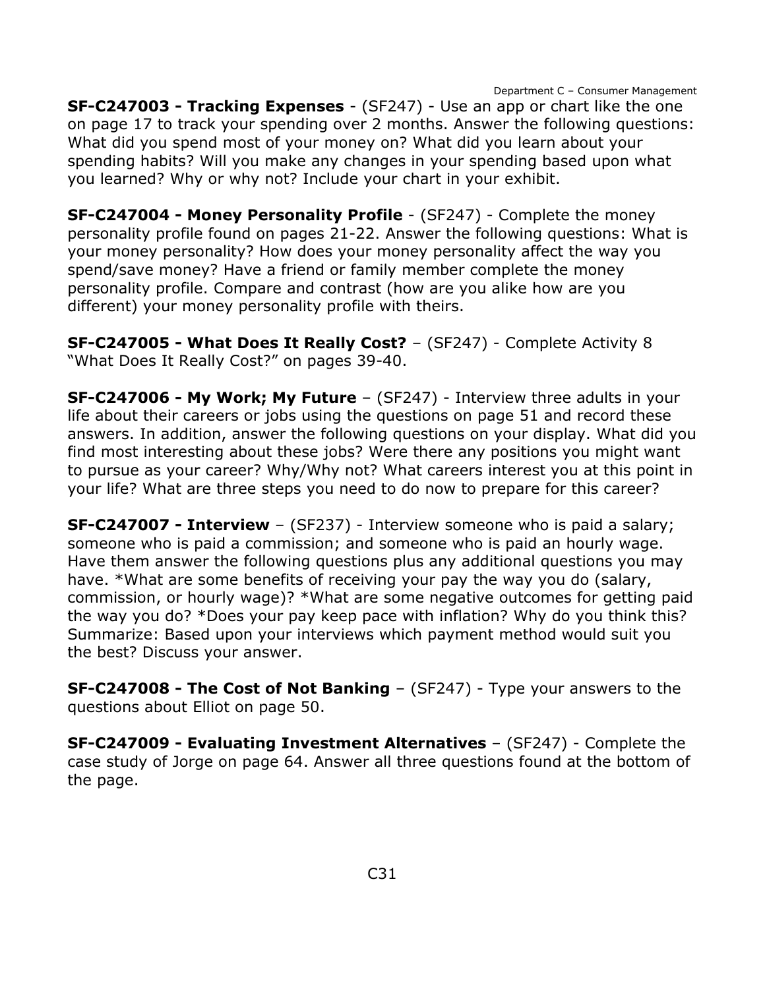**SF-C247003 - Tracking Expenses** - (SF247) - Use an app or chart like the one on page 17 to track your spending over 2 months. Answer the following questions: What did you spend most of your money on? What did you learn about your spending habits? Will you make any changes in your spending based upon what you learned? Why or why not? Include your chart in your exhibit.

**SF-C247004 - Money Personality Profile** - (SF247) - Complete the money personality profile found on pages 21-22. Answer the following questions: What is your money personality? How does your money personality affect the way you spend/save money? Have a friend or family member complete the money personality profile. Compare and contrast (how are you alike how are you different) your money personality profile with theirs.

**SF-C247005 - What Does It Really Cost?** – (SF247) - Complete Activity 8 "What Does It Really Cost?" on pages 39-40.

**SF-C247006 - My Work; My Future** – (SF247) - Interview three adults in your life about their careers or jobs using the questions on page 51 and record these answers. In addition, answer the following questions on your display. What did you find most interesting about these jobs? Were there any positions you might want to pursue as your career? Why/Why not? What careers interest you at this point in your life? What are three steps you need to do now to prepare for this career?

**SF-C247007 - Interview** – (SF237) - Interview someone who is paid a salary; someone who is paid a commission; and someone who is paid an hourly wage. Have them answer the following questions plus any additional questions you may have. \*What are some benefits of receiving your pay the way you do (salary, commission, or hourly wage)? \*What are some negative outcomes for getting paid the way you do? \*Does your pay keep pace with inflation? Why do you think this? Summarize: Based upon your interviews which payment method would suit you the best? Discuss your answer.

**SF-C247008 - The Cost of Not Banking** – (SF247) - Type your answers to the questions about Elliot on page 50.

**SF-C247009 - Evaluating Investment Alternatives** – (SF247) - Complete the case study of Jorge on page 64. Answer all three questions found at the bottom of the page.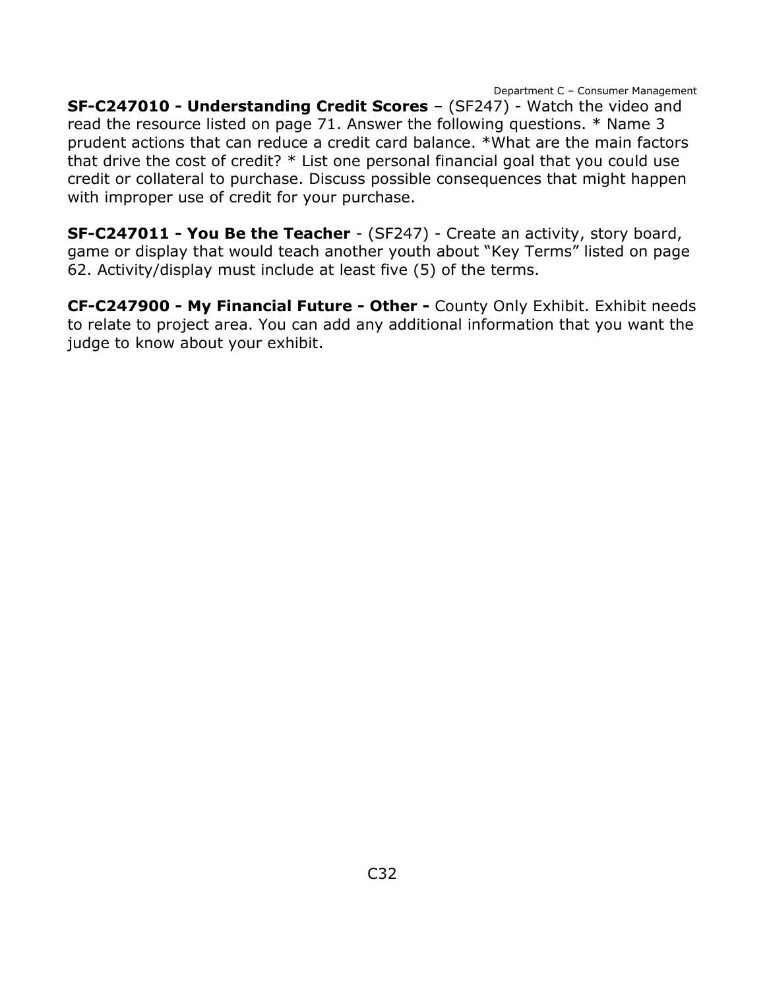**SF-C247010 - Understanding Credit Scores** – (SF247) - Watch the video and read the resource listed on page 71. Answer the following questions. \* Name 3 prudent actions that can reduce a credit card balance. \*What are the main factors that drive the cost of credit? \* List one personal financial goal that you could use credit or collateral to purchase. Discuss possible consequences that might happen with improper use of credit for your purchase.

**SF-C247011 - You Be the Teacher** - (SF247) - Create an activity, story board, game or display that would teach another youth about "Key Terms" listed on page 62. Activity/display must include at least five (5) of the terms.

**CF-C247900 - My Financial Future - Other -** County Only Exhibit. Exhibit needs to relate to project area. You can add any additional information that you want the judge to know about your exhibit.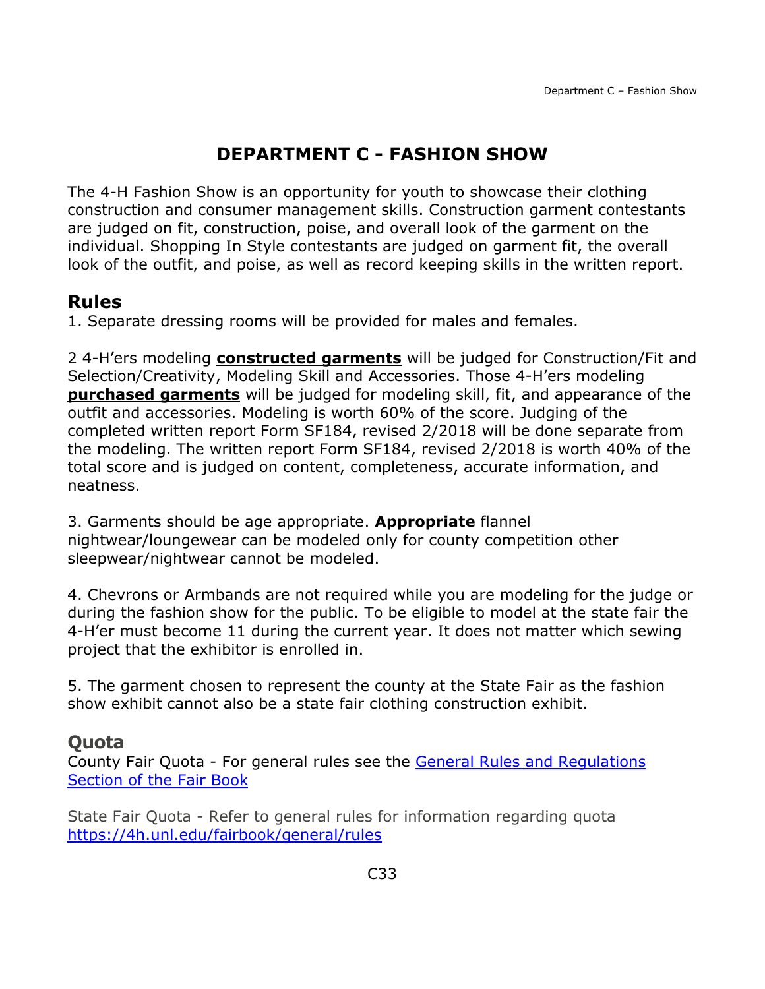## **DEPARTMENT C - FASHION SHOW**

<span id="page-33-0"></span>The 4-H Fashion Show is an opportunity for youth to showcase their clothing construction and consumer management skills. Construction garment contestants are judged on fit, construction, poise, and overall look of the garment on the individual. Shopping In Style contestants are judged on garment fit, the overall look of the outfit, and poise, as well as record keeping skills in the written report.

## **Rules**

1. Separate dressing rooms will be provided for males and females.

2 4-H'ers modeling **constructed garments** will be judged for Construction/Fit and Selection/Creativity, Modeling Skill and Accessories. Those 4-H'ers modeling **purchased garments** will be judged for modeling skill, fit, and appearance of the outfit and accessories. Modeling is worth 60% of the score. Judging of the completed written report Form SF184, revised 2/2018 will be done separate from the modeling. The written report Form SF184, revised 2/2018 is worth 40% of the total score and is judged on content, completeness, accurate information, and neatness.

3. Garments should be age appropriate. **Appropriate** flannel nightwear/loungewear can be modeled only for county competition other sleepwear/nightwear cannot be modeled.

4. Chevrons or Armbands are not required while you are modeling for the judge or during the fashion show for the public. To be eligible to model at the state fair the 4-H'er must become 11 during the current year. It does not matter which sewing project that the exhibitor is enrolled in.

5. The garment chosen to represent the county at the State Fair as the fashion show exhibit cannot also be a state fair clothing construction exhibit.

### **Quota**

County Fair Quota - For general rules see the [General Rules and Regulations](https://unl.box.com/s/e7w1cmzwit0us89x96k1h2gdrs51dsy2)  [Section of the Fair Book](https://unl.box.com/s/e7w1cmzwit0us89x96k1h2gdrs51dsy2)

State Fair Quota - Refer to general rules for information regarding quota <https://4h.unl.edu/fairbook/general/rules>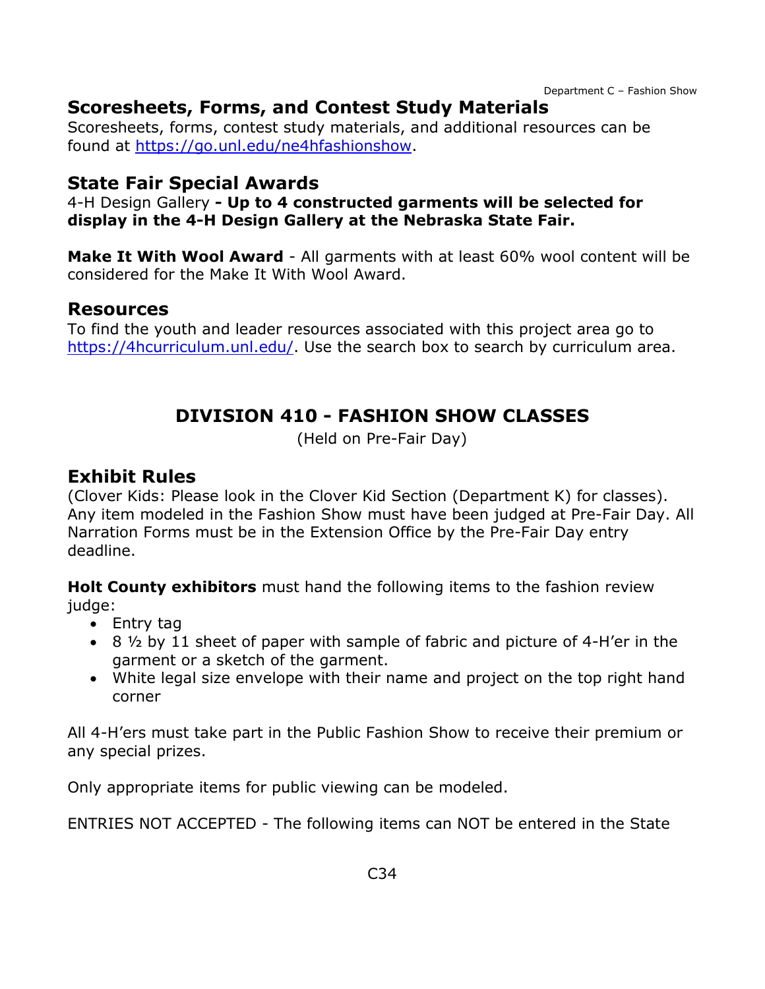Department C – Fashion Show

## **Scoresheets, Forms, and Contest Study Materials**

Scoresheets, forms, contest study materials, and additional resources can be found at [https://go.unl.edu/ne4hfashionshow.](https://go.unl.edu/ne4hfashionshow)

### **State Fair Special Awards**

4-H Design Gallery **- Up to 4 constructed garments will be selected for display in the 4-H Design Gallery at the Nebraska State Fair.**

**Make It With Wool Award** - All garments with at least 60% wool content will be considered for the Make It With Wool Award.

#### **Resources**

<span id="page-34-0"></span>To find the youth and leader resources associated with this project area go to [https://4hcurriculum.unl.edu/.](https://4hcurriculum.unl.edu/) Use the search box to search by curriculum area.

## **DIVISION 410 - FASHION SHOW CLASSES**

(Held on Pre-Fair Day)

### **Exhibit Rules**

(Clover Kids: Please look in the Clover Kid Section (Department K) for classes). Any item modeled in the Fashion Show must have been judged at Pre-Fair Day. All Narration Forms must be in the Extension Office by the Pre-Fair Day entry deadline.

**Holt County exhibitors** must hand the following items to the fashion review judge:

- Entry tag
- 8 ½ by 11 sheet of paper with sample of fabric and picture of 4-H'er in the garment or a sketch of the garment.
- White legal size envelope with their name and project on the top right hand corner

All 4-H'ers must take part in the Public Fashion Show to receive their premium or any special prizes.

Only appropriate items for public viewing can be modeled.

ENTRIES NOT ACCEPTED - The following items can NOT be entered in the State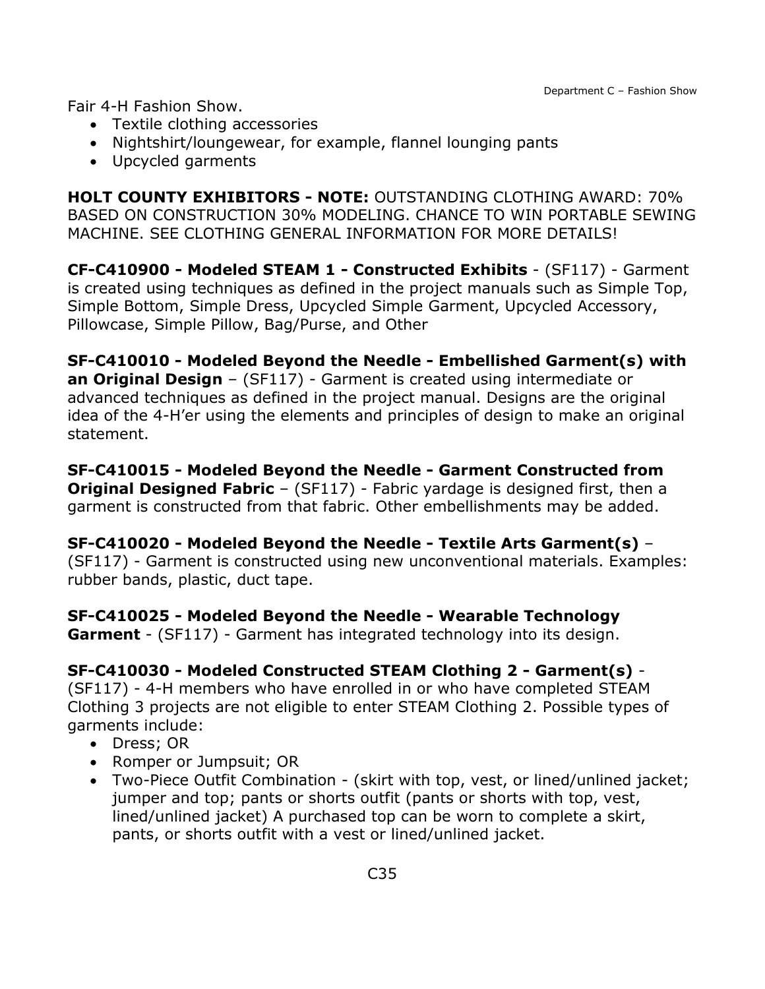Fair 4-H Fashion Show.

- Textile clothing accessories
- Nightshirt/loungewear, for example, flannel lounging pants
- Upcycled garments

**HOLT COUNTY EXHIBITORS - NOTE:** OUTSTANDING CLOTHING AWARD: 70% BASED ON CONSTRUCTION 30% MODELING. CHANCE TO WIN PORTABLE SEWING MACHINE. SEE CLOTHING GENERAL INFORMATION FOR MORE DETAILS!

**CF-C410900 - Modeled STEAM 1 - Constructed Exhibits** - (SF117) - Garment is created using techniques as defined in the project manuals such as Simple Top, Simple Bottom, Simple Dress, Upcycled Simple Garment, Upcycled Accessory, Pillowcase, Simple Pillow, Bag/Purse, and Other

**SF-C410010 - Modeled Beyond the Needle - Embellished Garment(s) with an Original Design** – (SF117) - Garment is created using intermediate or advanced techniques as defined in the project manual. Designs are the original idea of the 4-H'er using the elements and principles of design to make an original statement.

**SF-C410015 - Modeled Beyond the Needle - Garment Constructed from Original Designed Fabric** – (SF117) - Fabric vardage is designed first, then a garment is constructed from that fabric. Other embellishments may be added.

**SF-C410020 - Modeled Beyond the Needle - Textile Arts Garment(s)** – (SF117) - Garment is constructed using new unconventional materials. Examples: rubber bands, plastic, duct tape.

**SF-C410025 - Modeled Beyond the Needle - Wearable Technology Garment** - (SF117) - Garment has integrated technology into its design.

#### **SF-C410030 - Modeled Constructed STEAM Clothing 2 - Garment(s)** -

(SF117) - 4-H members who have enrolled in or who have completed STEAM Clothing 3 projects are not eligible to enter STEAM Clothing 2. Possible types of garments include:

- Dress; OR
- Romper or Jumpsuit; OR
- Two-Piece Outfit Combination (skirt with top, vest, or lined/unlined jacket; jumper and top; pants or shorts outfit (pants or shorts with top, vest, lined/unlined jacket) A purchased top can be worn to complete a skirt, pants, or shorts outfit with a vest or lined/unlined jacket.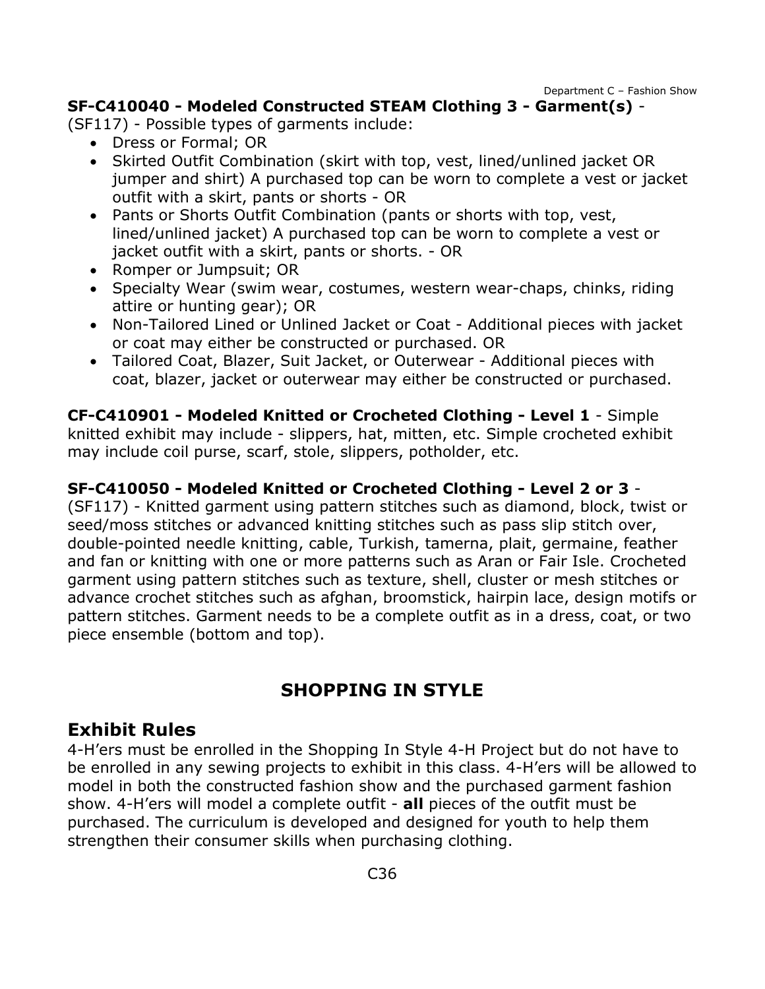Department C – Fashion Show

#### **SF-C410040 - Modeled Constructed STEAM Clothing 3 - Garment(s)** -

(SF117) - Possible types of garments include:

- Dress or Formal; OR
- Skirted Outfit Combination (skirt with top, vest, lined/unlined jacket OR jumper and shirt) A purchased top can be worn to complete a vest or jacket outfit with a skirt, pants or shorts - OR
- Pants or Shorts Outfit Combination (pants or shorts with top, vest, lined/unlined jacket) A purchased top can be worn to complete a vest or jacket outfit with a skirt, pants or shorts. - OR
- Romper or Jumpsuit; OR
- Specialty Wear (swim wear, costumes, western wear-chaps, chinks, riding attire or hunting gear); OR
- Non-Tailored Lined or Unlined Jacket or Coat Additional pieces with jacket or coat may either be constructed or purchased. OR
- Tailored Coat, Blazer, Suit Jacket, or Outerwear Additional pieces with coat, blazer, jacket or outerwear may either be constructed or purchased.

**CF-C410901 - Modeled Knitted or Crocheted Clothing - Level 1** - Simple knitted exhibit may include - slippers, hat, mitten, etc. Simple crocheted exhibit may include coil purse, scarf, stole, slippers, potholder, etc.

### **SF-C410050 - Modeled Knitted or Crocheted Clothing - Level 2 or 3** -

(SF117) - Knitted garment using pattern stitches such as diamond, block, twist or seed/moss stitches or advanced knitting stitches such as pass slip stitch over, double-pointed needle knitting, cable, Turkish, tamerna, plait, germaine, feather and fan or knitting with one or more patterns such as Aran or Fair Isle. Crocheted garment using pattern stitches such as texture, shell, cluster or mesh stitches or advance crochet stitches such as afghan, broomstick, hairpin lace, design motifs or pattern stitches. Garment needs to be a complete outfit as in a dress, coat, or two piece ensemble (bottom and top).

## **SHOPPING IN STYLE**

## **Exhibit Rules**

4-H'ers must be enrolled in the Shopping In Style 4-H Project but do not have to be enrolled in any sewing projects to exhibit in this class. 4-H'ers will be allowed to model in both the constructed fashion show and the purchased garment fashion show. 4-H'ers will model a complete outfit - **all** pieces of the outfit must be purchased. The curriculum is developed and designed for youth to help them strengthen their consumer skills when purchasing clothing.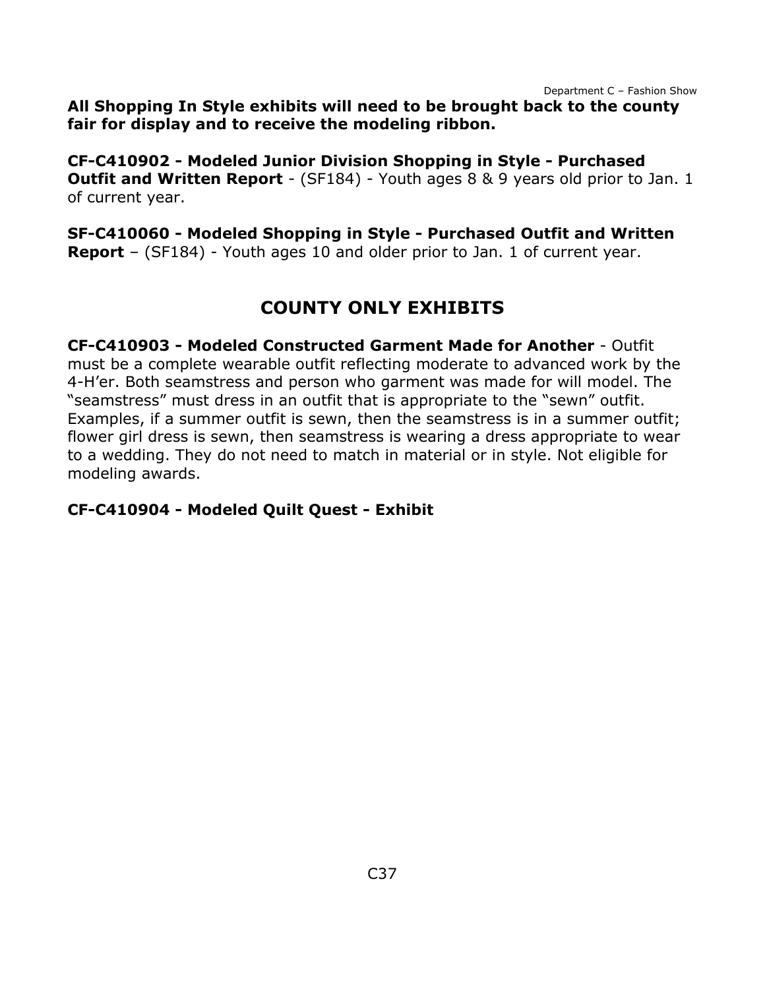Department C – Fashion Show

**All Shopping In Style exhibits will need to be brought back to the county fair for display and to receive the modeling ribbon.**

**CF-C410902 - Modeled Junior Division Shopping in Style - Purchased Outfit and Written Report** - (SF184) - Youth ages 8 & 9 years old prior to Jan. 1 of current year.

**SF-C410060 - Modeled Shopping in Style - Purchased Outfit and Written Report** – (SF184) - Youth ages 10 and older prior to Jan. 1 of current year.

# **COUNTY ONLY EXHIBITS**

**CF-C410903 - Modeled Constructed Garment Made for Another** - Outfit must be a complete wearable outfit reflecting moderate to advanced work by the 4-H'er. Both seamstress and person who garment was made for will model. The "seamstress" must dress in an outfit that is appropriate to the "sewn" outfit. Examples, if a summer outfit is sewn, then the seamstress is in a summer outfit; flower girl dress is sewn, then seamstress is wearing a dress appropriate to wear to a wedding. They do not need to match in material or in style. Not eligible for modeling awards.

#### **CF-C410904 - Modeled Quilt Quest - Exhibit**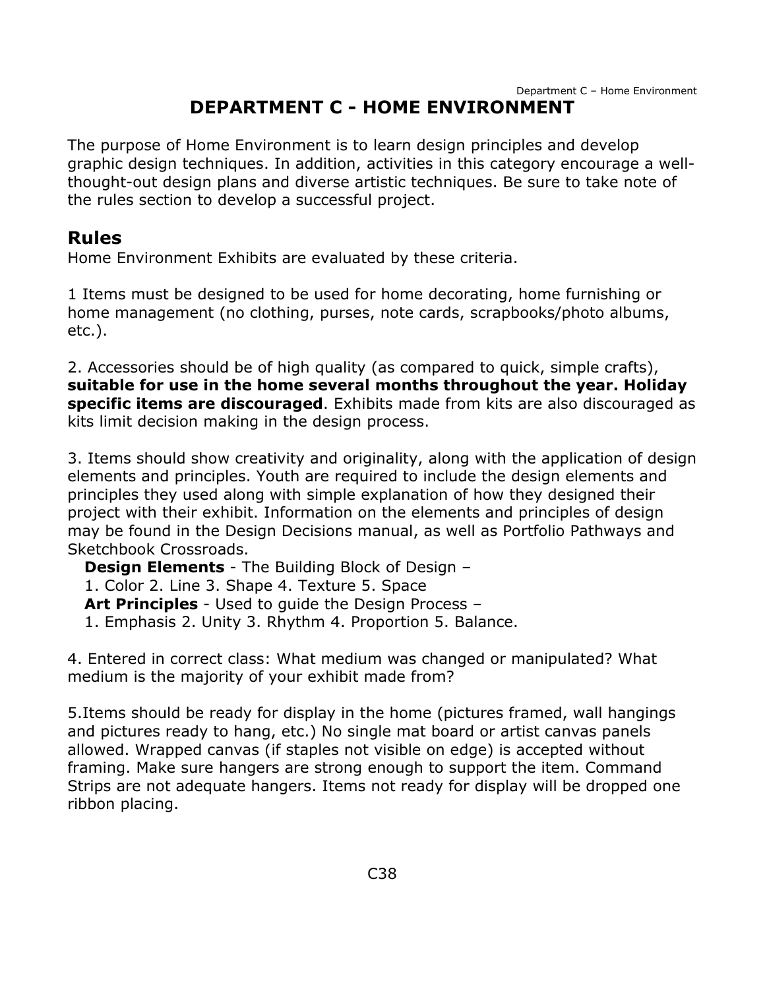<span id="page-38-0"></span>The purpose of Home Environment is to learn design principles and develop graphic design techniques. In addition, activities in this category encourage a wellthought-out design plans and diverse artistic techniques. Be sure to take note of the rules section to develop a successful project.

## **Rules**

Home Environment Exhibits are evaluated by these criteria.

1 Items must be designed to be used for home decorating, home furnishing or home management (no clothing, purses, note cards, scrapbooks/photo albums, etc.).

2. Accessories should be of high quality (as compared to quick, simple crafts), **suitable for use in the home several months throughout the year. Holiday specific items are discouraged**. Exhibits made from kits are also discouraged as kits limit decision making in the design process.

3. Items should show creativity and originality, along with the application of design elements and principles. Youth are required to include the design elements and principles they used along with simple explanation of how they designed their project with their exhibit. Information on the elements and principles of design may be found in the Design Decisions manual, as well as Portfolio Pathways and Sketchbook Crossroads.

**Design Elements** - The Building Block of Design – 1. Color 2. Line 3. Shape 4. Texture 5. Space **Art Principles** - Used to guide the Design Process – 1. Emphasis 2. Unity 3. Rhythm 4. Proportion 5. Balance.

4. Entered in correct class: What medium was changed or manipulated? What medium is the majority of your exhibit made from?

5.Items should be ready for display in the home (pictures framed, wall hangings and pictures ready to hang, etc.) No single mat board or artist canvas panels allowed. Wrapped canvas (if staples not visible on edge) is accepted without framing. Make sure hangers are strong enough to support the item. Command Strips are not adequate hangers. Items not ready for display will be dropped one ribbon placing.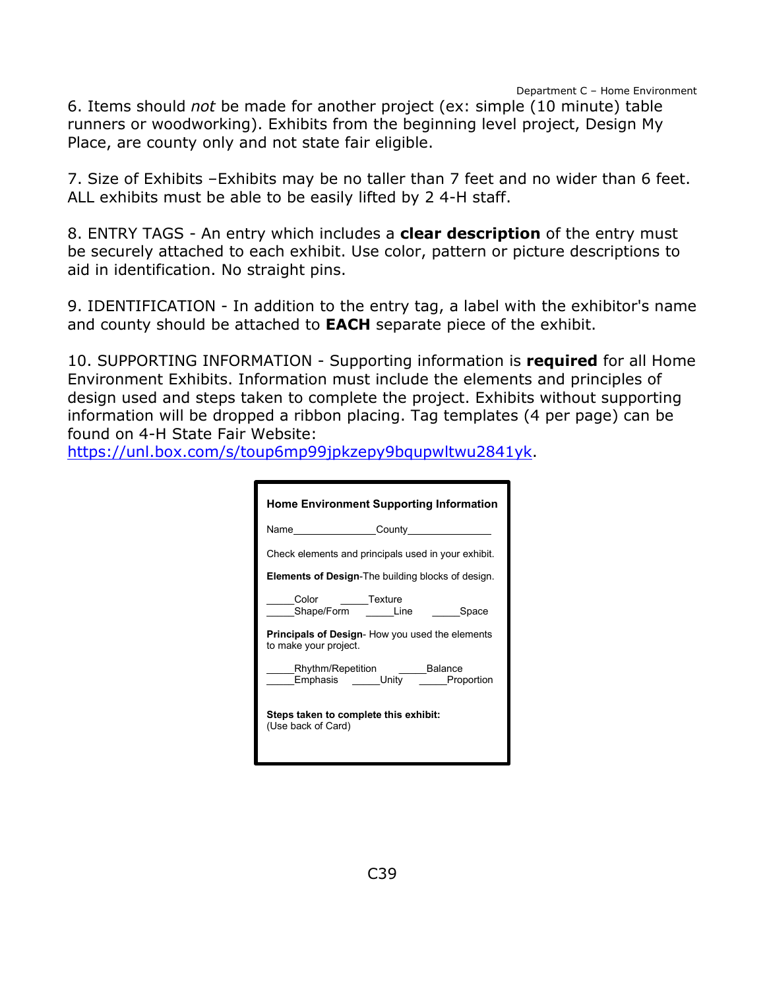6. Items should *not* be made for another project (ex: simple (10 minute) table runners or woodworking). Exhibits from the beginning level project, Design My Place, are county only and not state fair eligible.

7. Size of Exhibits –Exhibits may be no taller than 7 feet and no wider than 6 feet. ALL exhibits must be able to be easily lifted by 2 4-H staff.

8. ENTRY TAGS - An entry which includes a **clear description** of the entry must be securely attached to each exhibit. Use color, pattern or picture descriptions to aid in identification. No straight pins.

9. IDENTIFICATION - In addition to the entry tag, a label with the exhibitor's name and county should be attached to **EACH** separate piece of the exhibit.

10. SUPPORTING INFORMATION - Supporting information is **required** for all Home Environment Exhibits. Information must include the elements and principles of design used and steps taken to complete the project. Exhibits without supporting information will be dropped a ribbon placing. Tag templates (4 per page) can be found on 4-H State Fair Website:

[https://unl.box.com/s/toup6mp99jpkzepy9bqupwltwu2841yk.](https://unl.box.com/s/toup6mp99jpkzepy9bqupwltwu2841yk)

| <b>Home Environment Supporting Information</b>                                  |  |  |
|---------------------------------------------------------------------------------|--|--|
| Name County County                                                              |  |  |
| Check elements and principals used in your exhibit.                             |  |  |
| <b>Elements of Design-The building blocks of design.</b>                        |  |  |
| <b>Texture</b><br>Color<br>Shape/Form<br><b>Line</b><br>Space                   |  |  |
| <b>Principals of Design-</b> How you used the elements<br>to make your project. |  |  |
| _Rhythm/Repetition ______Balance<br>Emphasis _____Unity _____Proportion         |  |  |
| Steps taken to complete this exhibit:<br>(Use back of Card)                     |  |  |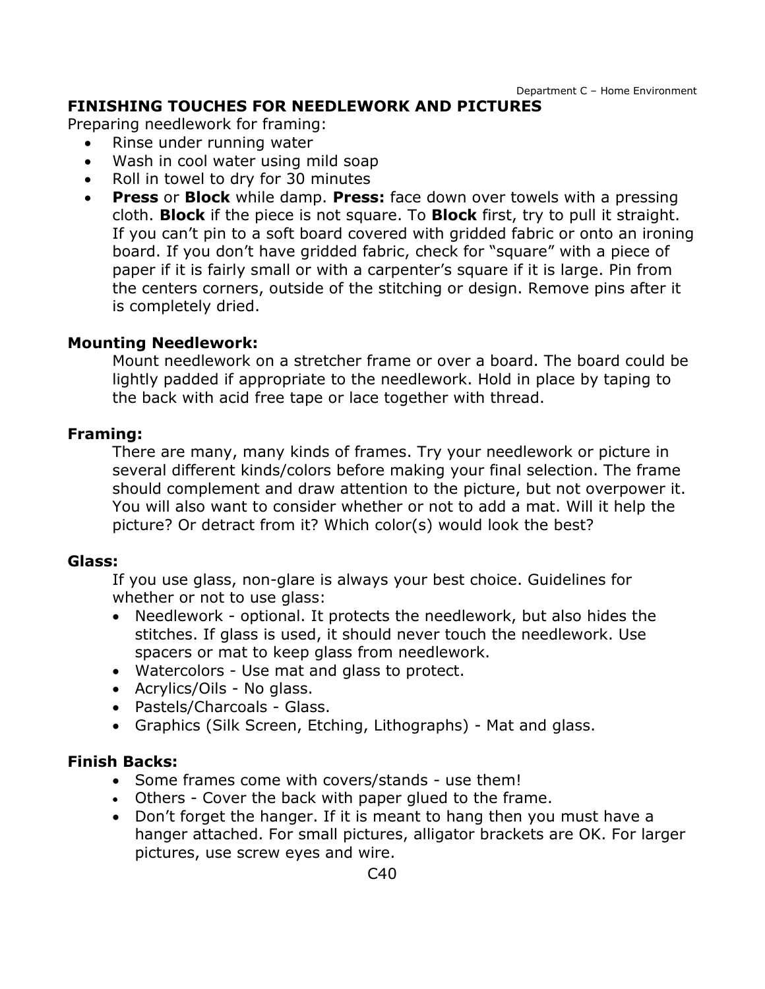#### **FINISHING TOUCHES FOR NEEDLEWORK AND PICTURES**

Preparing needlework for framing:

- Rinse under running water
- Wash in cool water using mild soap
- Roll in towel to dry for 30 minutes
- **Press** or **Block** while damp. **Press:** face down over towels with a pressing cloth. **Block** if the piece is not square. To **Block** first, try to pull it straight. If you can't pin to a soft board covered with gridded fabric or onto an ironing board. If you don't have gridded fabric, check for "square" with a piece of paper if it is fairly small or with a carpenter's square if it is large. Pin from the centers corners, outside of the stitching or design. Remove pins after it is completely dried.

#### **Mounting Needlework:**

Mount needlework on a stretcher frame or over a board. The board could be lightly padded if appropriate to the needlework. Hold in place by taping to the back with acid free tape or lace together with thread.

#### **Framing:**

There are many, many kinds of frames. Try your needlework or picture in several different kinds/colors before making your final selection. The frame should complement and draw attention to the picture, but not overpower it. You will also want to consider whether or not to add a mat. Will it help the picture? Or detract from it? Which color(s) would look the best?

#### **Glass:**

If you use glass, non-glare is always your best choice. Guidelines for whether or not to use glass:

- Needlework optional. It protects the needlework, but also hides the stitches. If glass is used, it should never touch the needlework. Use spacers or mat to keep glass from needlework.
- Watercolors Use mat and glass to protect.
- Acrylics/Oils No glass.
- Pastels/Charcoals Glass.
- Graphics (Silk Screen, Etching, Lithographs) Mat and glass.

#### **Finish Backs:**

- Some frames come with covers/stands use them!
- Others Cover the back with paper glued to the frame.
- Don't forget the hanger. If it is meant to hang then you must have a hanger attached. For small pictures, alligator brackets are OK. For larger pictures, use screw eyes and wire.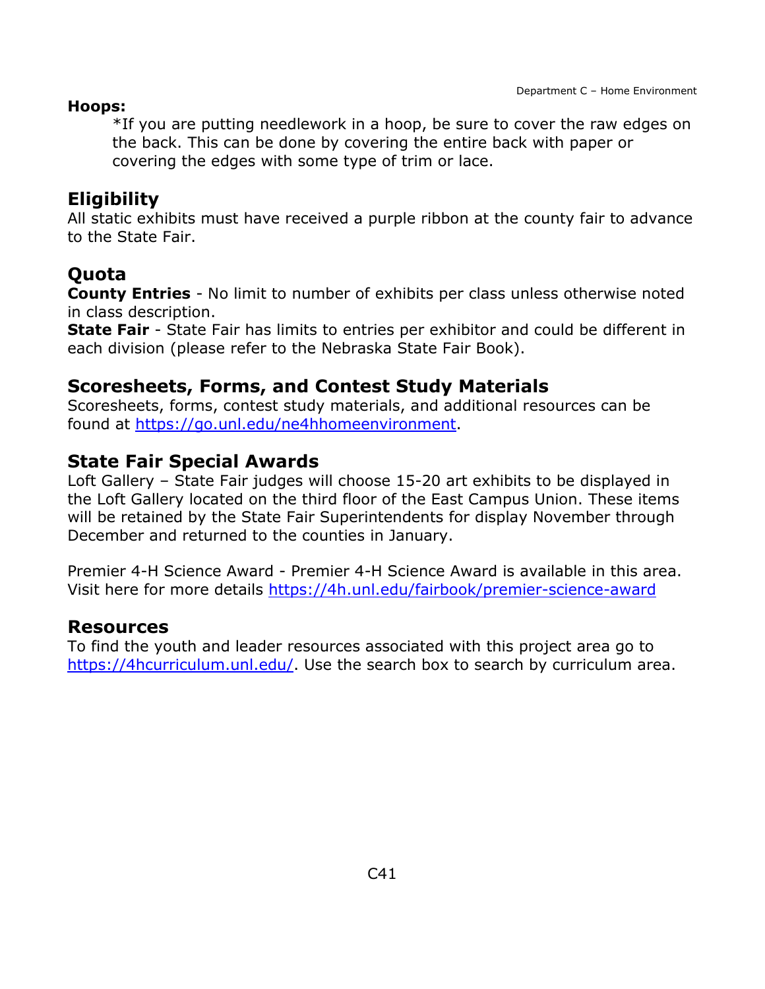#### **Hoops:**

\*If you are putting needlework in a hoop, be sure to cover the raw edges on the back. This can be done by covering the entire back with paper or covering the edges with some type of trim or lace.

## **Eligibility**

All static exhibits must have received a purple ribbon at the county fair to advance to the State Fair.

## **Quota**

**County Entries** - No limit to number of exhibits per class unless otherwise noted in class description.

**State Fair** - State Fair has limits to entries per exhibitor and could be different in each division (please refer to the Nebraska State Fair Book).

### **Scoresheets, Forms, and Contest Study Materials**

Scoresheets, forms, contest study materials, and additional resources can be found at [https://go.unl.edu/ne4hhomeenvironment.](https://go.unl.edu/ne4hhomeenvironment)

## **State Fair Special Awards**

Loft Gallery – State Fair judges will choose 15-20 art exhibits to be displayed in the Loft Gallery located on the third floor of the East Campus Union. These items will be retained by the State Fair Superintendents for display November through December and returned to the counties in January.

Premier 4-H Science Award - Premier 4-H Science Award is available in this area. Visit here for more details<https://4h.unl.edu/fairbook/premier-science-award>

### **Resources**

To find the youth and leader resources associated with this project area go to [https://4hcurriculum.unl.edu/.](https://4hcurriculum.unl.edu/) Use the search box to search by curriculum area.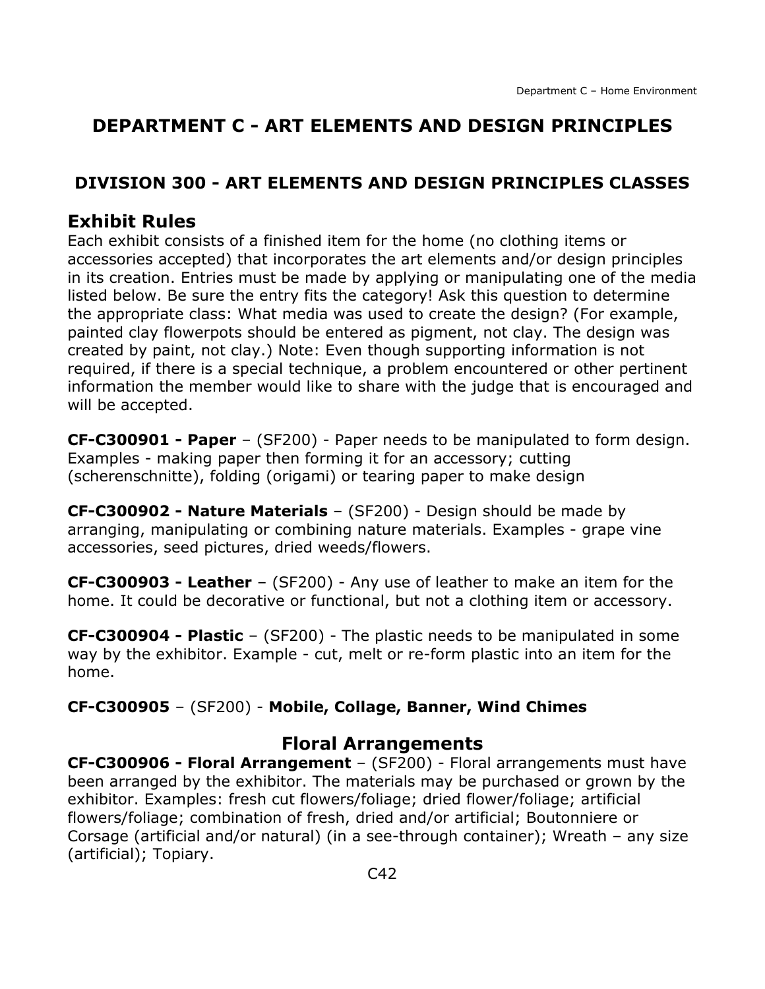## **DEPARTMENT C - ART ELEMENTS AND DESIGN PRINCIPLES**

### <span id="page-42-0"></span>**DIVISION 300 - ART ELEMENTS AND DESIGN PRINCIPLES CLASSES**

## **Exhibit Rules**

Each exhibit consists of a finished item for the home (no clothing items or accessories accepted) that incorporates the art elements and/or design principles in its creation. Entries must be made by applying or manipulating one of the media listed below. Be sure the entry fits the category! Ask this question to determine the appropriate class: What media was used to create the design? (For example, painted clay flowerpots should be entered as pigment, not clay. The design was created by paint, not clay.) Note: Even though supporting information is not required, if there is a special technique, a problem encountered or other pertinent information the member would like to share with the judge that is encouraged and will be accepted.

**CF-C300901 - Paper** – (SF200) - Paper needs to be manipulated to form design. Examples - making paper then forming it for an accessory; cutting (scherenschnitte), folding (origami) or tearing paper to make design

**CF-C300902 - Nature Materials** – (SF200) - Design should be made by arranging, manipulating or combining nature materials. Examples - grape vine accessories, seed pictures, dried weeds/flowers.

**CF-C300903 - Leather** – (SF200) - Any use of leather to make an item for the home. It could be decorative or functional, but not a clothing item or accessory.

**CF-C300904 - Plastic** – (SF200) - The plastic needs to be manipulated in some way by the exhibitor. Example - cut, melt or re-form plastic into an item for the home.

#### **CF-C300905** – (SF200) - **Mobile, Collage, Banner, Wind Chimes**

#### **Floral Arrangements**

**CF-C300906 - Floral Arrangement** – (SF200) - Floral arrangements must have been arranged by the exhibitor. The materials may be purchased or grown by the exhibitor. Examples: fresh cut flowers/foliage; dried flower/foliage; artificial flowers/foliage; combination of fresh, dried and/or artificial; Boutonniere or Corsage (artificial and/or natural) (in a see-through container); Wreath – any size (artificial); Topiary.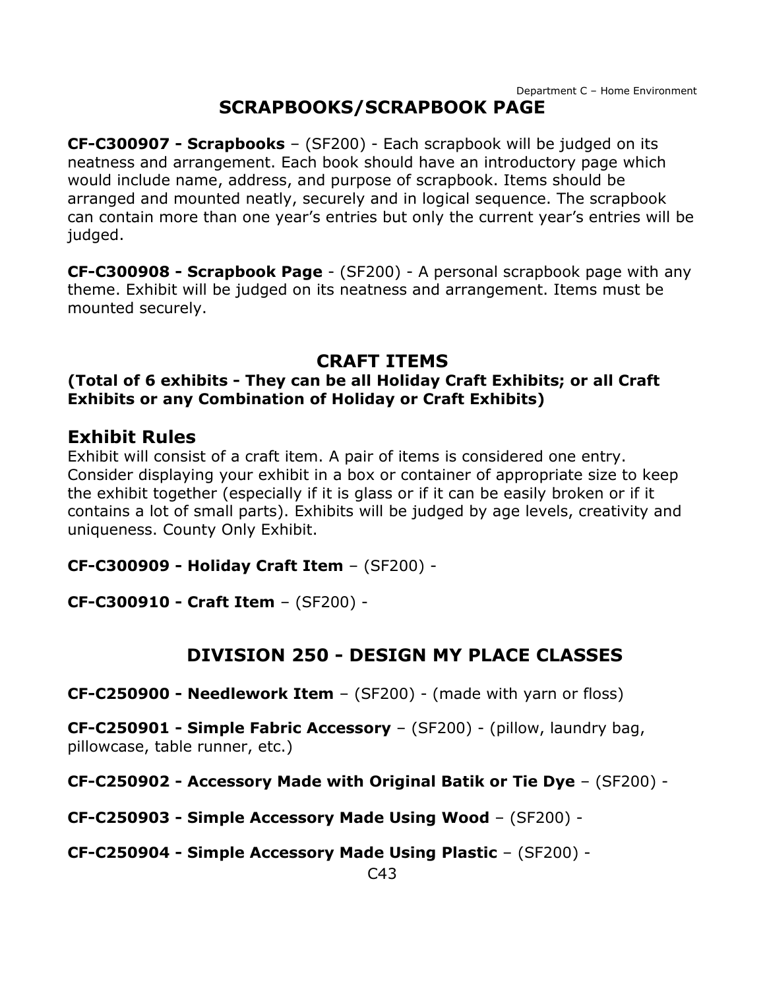## **SCRAPBOOKS/SCRAPBOOK PAGE**

**CF-C300907 - Scrapbooks** – (SF200) - Each scrapbook will be judged on its neatness and arrangement. Each book should have an introductory page which would include name, address, and purpose of scrapbook. Items should be arranged and mounted neatly, securely and in logical sequence. The scrapbook can contain more than one year's entries but only the current year's entries will be judged.

**CF-C300908 - Scrapbook Page** - (SF200) - A personal scrapbook page with any theme. Exhibit will be judged on its neatness and arrangement. Items must be mounted securely.

### **CRAFT ITEMS**

#### **(Total of 6 exhibits - They can be all Holiday Craft Exhibits; or all Craft Exhibits or any Combination of Holiday or Craft Exhibits)**

#### **Exhibit Rules**

Exhibit will consist of a craft item. A pair of items is considered one entry. Consider displaying your exhibit in a box or container of appropriate size to keep the exhibit together (especially if it is glass or if it can be easily broken or if it contains a lot of small parts). Exhibits will be judged by age levels, creativity and uniqueness. County Only Exhibit.

**CF-C300909 - Holiday Craft Item** – (SF200) -

**CF-C300910 - Craft Item** – (SF200) -

## **DIVISION 250 - DESIGN MY PLACE CLASSES**

<span id="page-43-0"></span>**CF-C250900 - Needlework Item** – (SF200) - (made with yarn or floss)

**CF-C250901 - Simple Fabric Accessory** – (SF200) - (pillow, laundry bag, pillowcase, table runner, etc.)

**CF-C250902 - Accessory Made with Original Batik or Tie Dye** – (SF200) -

**CF-C250903 - Simple Accessory Made Using Wood** – (SF200) -

**CF-C250904 - Simple Accessory Made Using Plastic** – (SF200) -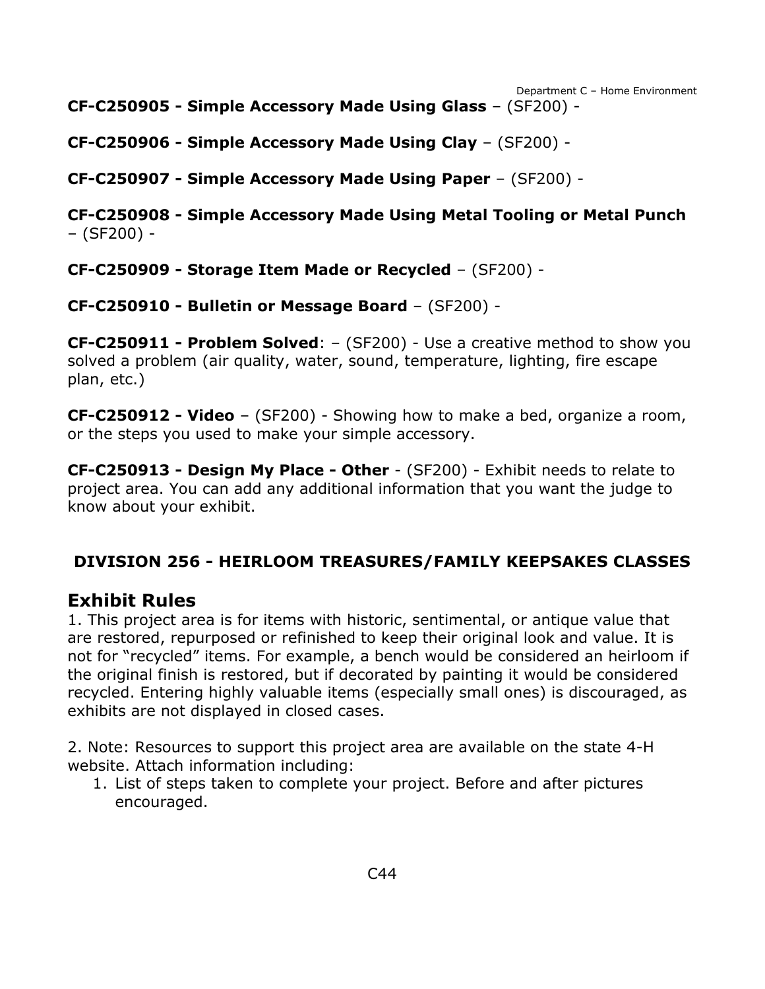Department C – Home Environment **CF-C250905 - Simple Accessory Made Using Glass** – (SF200) -

**CF-C250906 - Simple Accessory Made Using Clay** – (SF200) -

**CF-C250907 - Simple Accessory Made Using Paper** – (SF200) -

**CF-C250908 - Simple Accessory Made Using Metal Tooling or Metal Punch** – (SF200) -

**CF-C250909 - Storage Item Made or Recycled** – (SF200) -

**CF-C250910 - Bulletin or Message Board** – (SF200) -

**CF-C250911 - Problem Solved**: – (SF200) - Use a creative method to show you solved a problem (air quality, water, sound, temperature, lighting, fire escape plan, etc.)

**CF-C250912 - Video** – (SF200) - Showing how to make a bed, organize a room, or the steps you used to make your simple accessory.

**CF-C250913 - Design My Place - Other** - (SF200) - Exhibit needs to relate to project area. You can add any additional information that you want the judge to know about your exhibit.

## <span id="page-44-0"></span>**DIVISION 256 - HEIRLOOM TREASURES/FAMILY KEEPSAKES CLASSES**

### **Exhibit Rules**

1. This project area is for items with historic, sentimental, or antique value that are restored, repurposed or refinished to keep their original look and value. It is not for "recycled" items. For example, a bench would be considered an heirloom if the original finish is restored, but if decorated by painting it would be considered recycled. Entering highly valuable items (especially small ones) is discouraged, as exhibits are not displayed in closed cases.

2. Note: Resources to support this project area are available on the state 4-H website. Attach information including:

1. List of steps taken to complete your project. Before and after pictures encouraged.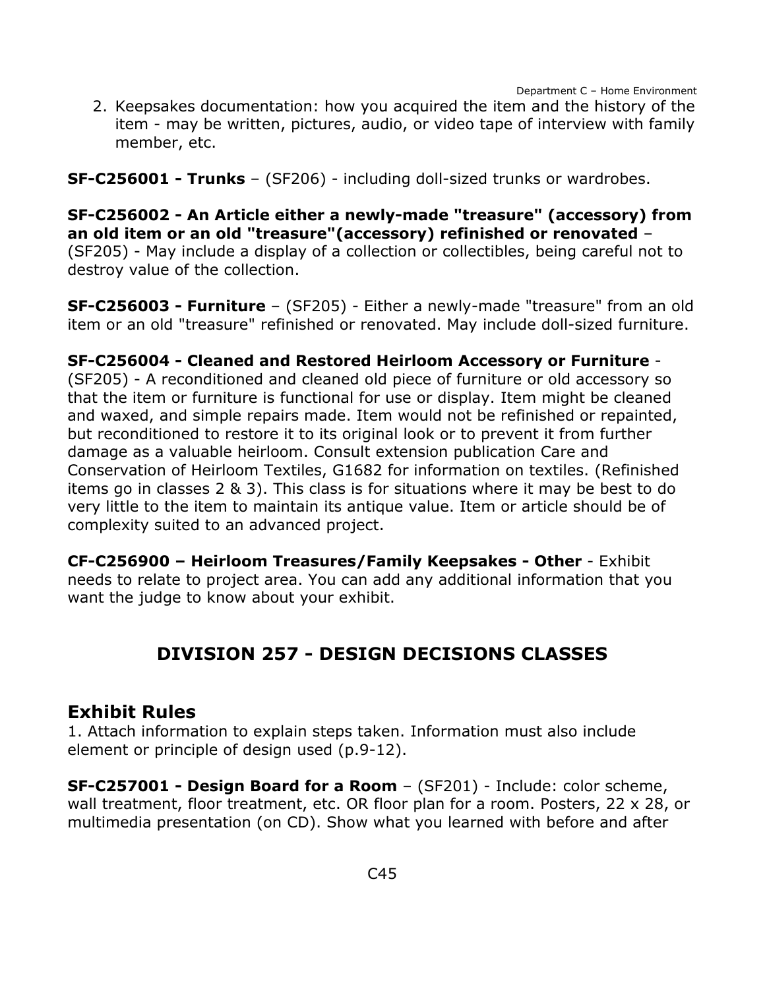2. Keepsakes documentation: how you acquired the item and the history of the item - may be written, pictures, audio, or video tape of interview with family member, etc.

**SF-C256001 - Trunks** – (SF206) - including doll-sized trunks or wardrobes.

**SF-C256002 - An Article either a newly-made "treasure" (accessory) from an old item or an old "treasure"(accessory) refinished or renovated** – (SF205) - May include a display of a collection or collectibles, being careful not to destroy value of the collection.

**SF-C256003 - Furniture** – (SF205) - Either a newly-made "treasure" from an old item or an old "treasure" refinished or renovated. May include doll-sized furniture.

#### **SF-C256004 - Cleaned and Restored Heirloom Accessory or Furniture** -

(SF205) - A reconditioned and cleaned old piece of furniture or old accessory so that the item or furniture is functional for use or display. Item might be cleaned and waxed, and simple repairs made. Item would not be refinished or repainted, but reconditioned to restore it to its original look or to prevent it from further damage as a valuable heirloom. Consult extension publication Care and Conservation of Heirloom Textiles, G1682 for information on textiles. (Refinished items go in classes 2 & 3). This class is for situations where it may be best to do very little to the item to maintain its antique value. Item or article should be of complexity suited to an advanced project.

**CF-C256900 – Heirloom Treasures/Family Keepsakes - Other** - Exhibit needs to relate to project area. You can add any additional information that you want the judge to know about your exhibit.

## **DIVISION 257 - DESIGN DECISIONS CLASSES**

#### <span id="page-45-0"></span>**Exhibit Rules**

1. Attach information to explain steps taken. Information must also include element or principle of design used (p.9-12).

**SF-C257001 - Design Board for a Room** – (SF201) - Include: color scheme, wall treatment, floor treatment, etc. OR floor plan for a room. Posters, 22 x 28, or multimedia presentation (on CD). Show what you learned with before and after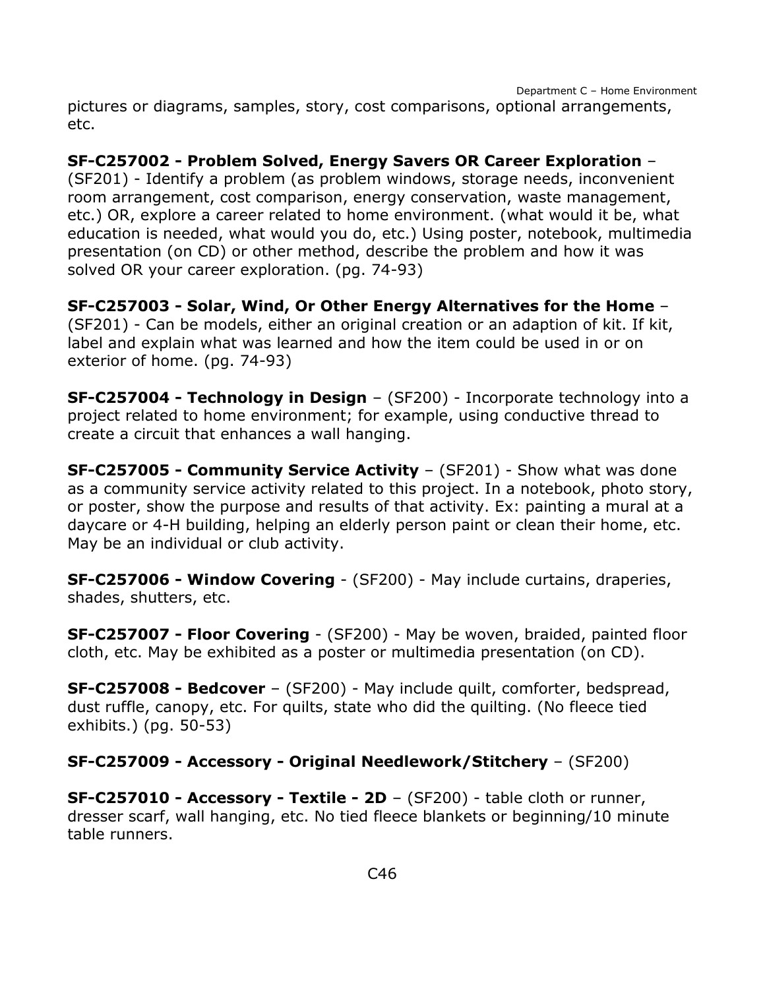pictures or diagrams, samples, story, cost comparisons, optional arrangements, etc.

#### **SF-C257002 - Problem Solved, Energy Savers OR Career Exploration** –

(SF201) - Identify a problem (as problem windows, storage needs, inconvenient room arrangement, cost comparison, energy conservation, waste management, etc.) OR, explore a career related to home environment. (what would it be, what education is needed, what would you do, etc.) Using poster, notebook, multimedia presentation (on CD) or other method, describe the problem and how it was solved OR your career exploration. (pg. 74-93)

**SF-C257003 - Solar, Wind, Or Other Energy Alternatives for the Home** – (SF201) - Can be models, either an original creation or an adaption of kit. If kit, label and explain what was learned and how the item could be used in or on exterior of home. (pg. 74-93)

**SF-C257004 - Technology in Design** – (SF200) - Incorporate technology into a project related to home environment; for example, using conductive thread to create a circuit that enhances a wall hanging.

**SF-C257005 - Community Service Activity** – (SF201) - Show what was done as a community service activity related to this project. In a notebook, photo story, or poster, show the purpose and results of that activity. Ex: painting a mural at a daycare or 4-H building, helping an elderly person paint or clean their home, etc. May be an individual or club activity.

**SF-C257006 - Window Covering** - (SF200) - May include curtains, draperies, shades, shutters, etc.

**SF-C257007 - Floor Covering** - (SF200) - May be woven, braided, painted floor cloth, etc. May be exhibited as a poster or multimedia presentation (on CD).

**SF-C257008 - Bedcover** – (SF200) - May include quilt, comforter, bedspread, dust ruffle, canopy, etc. For quilts, state who did the quilting. (No fleece tied exhibits.) (pg. 50-53)

**SF-C257009 - Accessory - Original Needlework/Stitchery** – (SF200)

**SF-C257010 - Accessory - Textile - 2D** – (SF200) - table cloth or runner, dresser scarf, wall hanging, etc. No tied fleece blankets or beginning/10 minute table runners.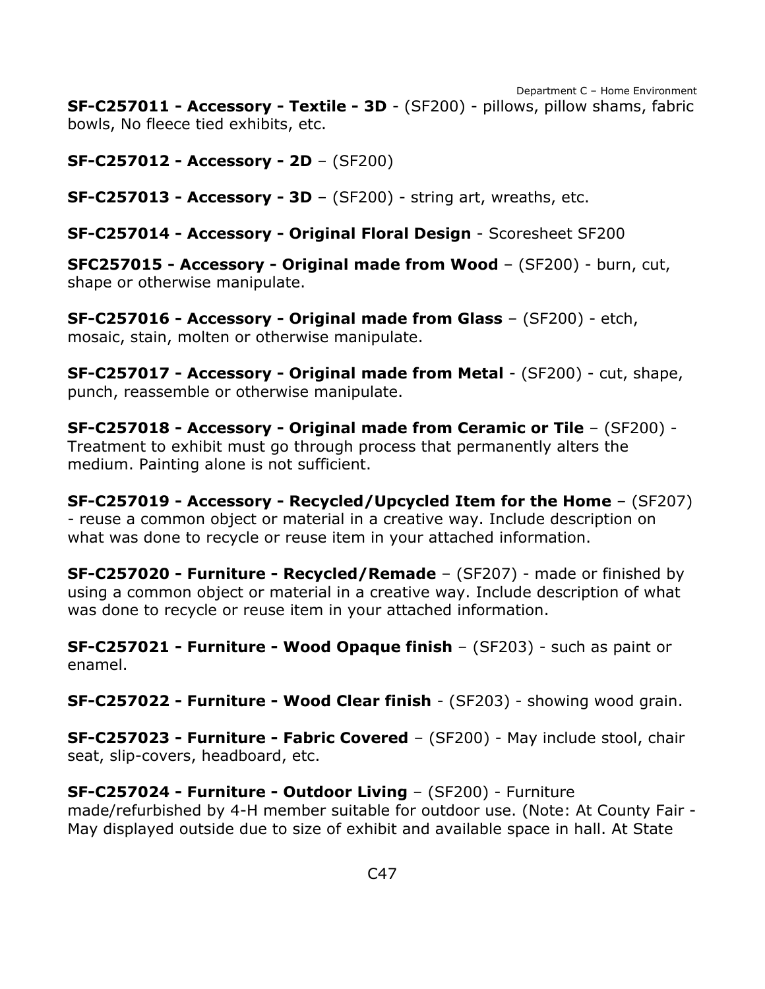**SF-C257011 - Accessory - Textile - 3D** - (SF200) - pillows, pillow shams, fabric bowls, No fleece tied exhibits, etc.

**SF-C257012 - Accessory - 2D** – (SF200)

**SF-C257013 - Accessory - 3D** – (SF200) - string art, wreaths, etc.

**SF-C257014 - Accessory - Original Floral Design** - Scoresheet SF200

**SFC257015 - Accessory - Original made from Wood** – (SF200) - burn, cut, shape or otherwise manipulate.

**SF-C257016 - Accessory - Original made from Glass** – (SF200) - etch, mosaic, stain, molten or otherwise manipulate.

**SF-C257017 - Accessory - Original made from Metal** - (SF200) - cut, shape, punch, reassemble or otherwise manipulate.

**SF-C257018 - Accessory - Original made from Ceramic or Tile** – (SF200) - Treatment to exhibit must go through process that permanently alters the medium. Painting alone is not sufficient.

**SF-C257019 - Accessory - Recycled/Upcycled Item for the Home** – (SF207) - reuse a common object or material in a creative way. Include description on what was done to recycle or reuse item in your attached information.

**SF-C257020 - Furniture - Recycled/Remade** – (SF207) - made or finished by using a common object or material in a creative way. Include description of what was done to recycle or reuse item in your attached information.

**SF-C257021 - Furniture - Wood Opaque finish** – (SF203) - such as paint or enamel.

**SF-C257022 - Furniture - Wood Clear finish** - (SF203) - showing wood grain.

**SF-C257023 - Furniture - Fabric Covered** – (SF200) - May include stool, chair seat, slip-covers, headboard, etc.

#### **SF-C257024 - Furniture - Outdoor Living** – (SF200) - Furniture

made/refurbished by 4-H member suitable for outdoor use. (Note: At County Fair - May displayed outside due to size of exhibit and available space in hall. At State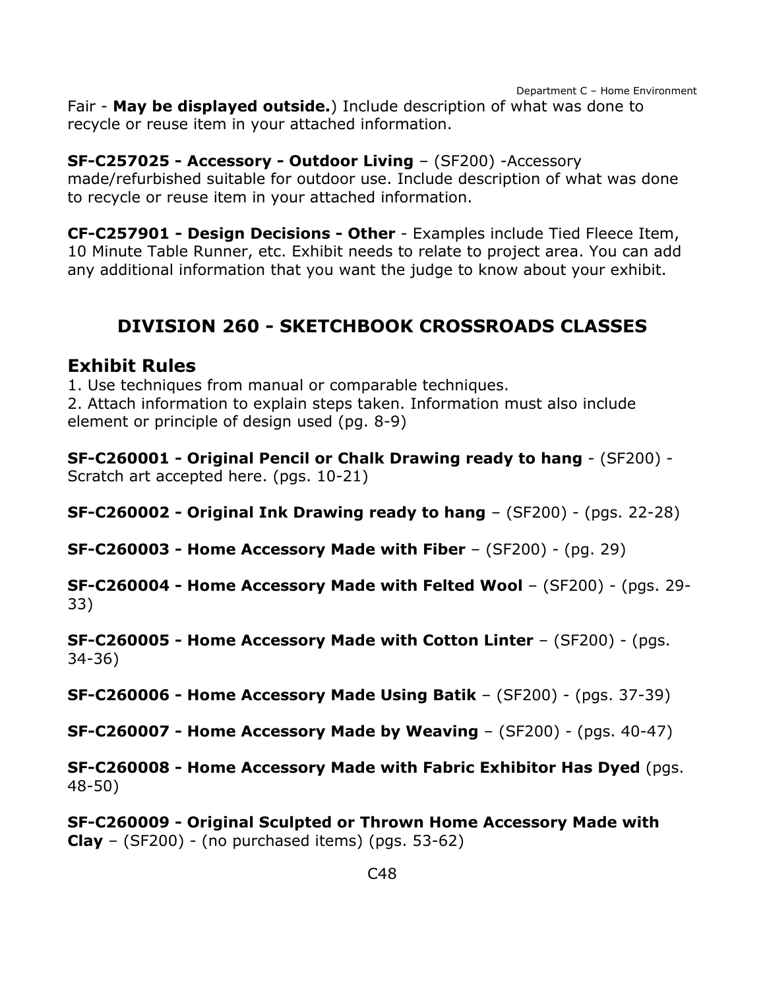Fair - **May be displayed outside.**) Include description of what was done to recycle or reuse item in your attached information.

#### **SF-C257025 - Accessory - Outdoor Living** – (SF200) -Accessory

made/refurbished suitable for outdoor use. Include description of what was done to recycle or reuse item in your attached information.

**CF-C257901 - Design Decisions - Other** - Examples include Tied Fleece Item, 10 Minute Table Runner, etc. Exhibit needs to relate to project area. You can add any additional information that you want the judge to know about your exhibit.

## **DIVISION 260 - SKETCHBOOK CROSSROADS CLASSES**

#### <span id="page-48-0"></span>**Exhibit Rules**

1. Use techniques from manual or comparable techniques.

2. Attach information to explain steps taken. Information must also include element or principle of design used (pg. 8-9)

**SF-C260001 - Original Pencil or Chalk Drawing ready to hang** - (SF200) - Scratch art accepted here. (pgs. 10-21)

**SF-C260002 - Original Ink Drawing ready to hang** – (SF200) - (pgs. 22-28)

**SF-C260003 - Home Accessory Made with Fiber** – (SF200) - (pg. 29)

**SF-C260004 - Home Accessory Made with Felted Wool** – (SF200) - (pgs. 29- 33)

**SF-C260005 - Home Accessory Made with Cotton Linter** – (SF200) - (pgs. 34-36)

**SF-C260006 - Home Accessory Made Using Batik** – (SF200) - (pgs. 37-39)

**SF-C260007 - Home Accessory Made by Weaving** – (SF200) - (pgs. 40-47)

**SF-C260008 - Home Accessory Made with Fabric Exhibitor Has Dyed** (pgs. 48-50)

**SF-C260009 - Original Sculpted or Thrown Home Accessory Made with Clay** – (SF200) - (no purchased items) (pgs. 53-62)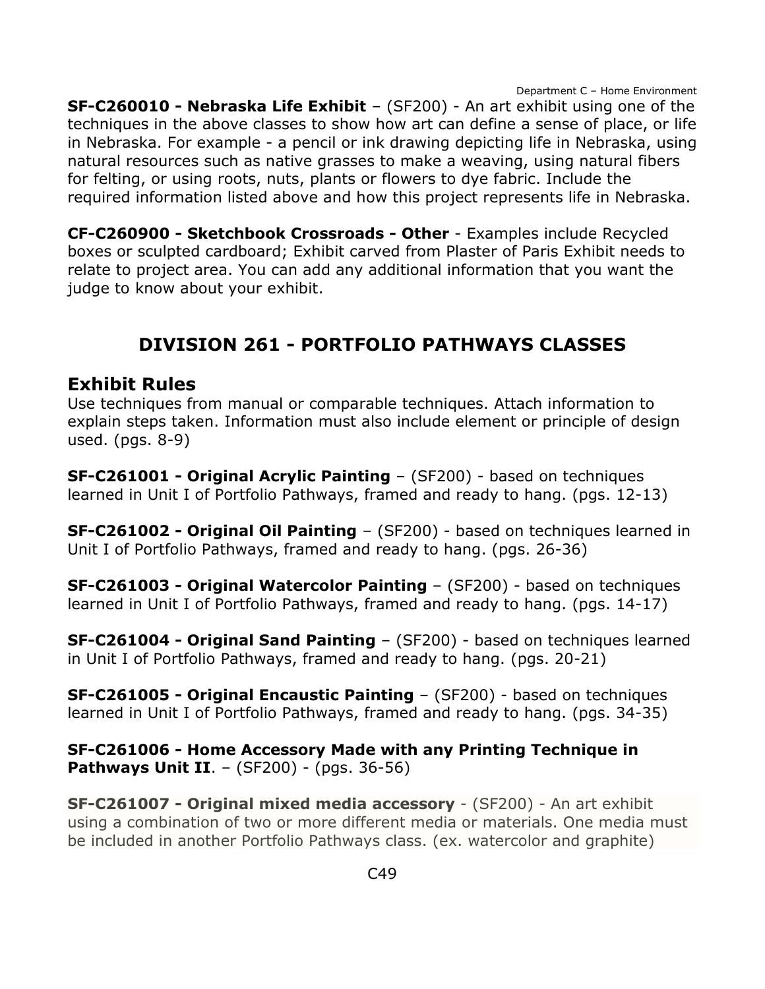**SF-C260010 - Nebraska Life Exhibit** – (SF200) - An art exhibit using one of the techniques in the above classes to show how art can define a sense of place, or life in Nebraska. For example - a pencil or ink drawing depicting life in Nebraska, using natural resources such as native grasses to make a weaving, using natural fibers for felting, or using roots, nuts, plants or flowers to dye fabric. Include the required information listed above and how this project represents life in Nebraska.

**CF-C260900 - Sketchbook Crossroads - Other** - Examples include Recycled boxes or sculpted cardboard; Exhibit carved from Plaster of Paris Exhibit needs to relate to project area. You can add any additional information that you want the judge to know about your exhibit.

# **DIVISION 261 - PORTFOLIO PATHWAYS CLASSES**

#### <span id="page-49-0"></span>**Exhibit Rules**

Use techniques from manual or comparable techniques. Attach information to explain steps taken. Information must also include element or principle of design used. (pgs. 8-9)

**SF-C261001 - Original Acrylic Painting** – (SF200) - based on techniques learned in Unit I of Portfolio Pathways, framed and ready to hang. (pgs. 12-13)

**SF-C261002 - Original Oil Painting** – (SF200) - based on techniques learned in Unit I of Portfolio Pathways, framed and ready to hang. (pgs. 26-36)

**SF-C261003 - Original Watercolor Painting** – (SF200) - based on techniques learned in Unit I of Portfolio Pathways, framed and ready to hang. (pgs. 14-17)

**SF-C261004 - Original Sand Painting** – (SF200) - based on techniques learned in Unit I of Portfolio Pathways, framed and ready to hang. (pgs. 20-21)

**SF-C261005 - Original Encaustic Painting** – (SF200) - based on techniques learned in Unit I of Portfolio Pathways, framed and ready to hang. (pgs. 34-35)

**SF-C261006 - Home Accessory Made with any Printing Technique in Pathways Unit II.** – (SF200) - (pgs. 36-56)

**SF-C261007 - Original mixed media accessory** - (SF200) - An art exhibit using a combination of two or more different media or materials. One media must be included in another Portfolio Pathways class. (ex. watercolor and graphite)